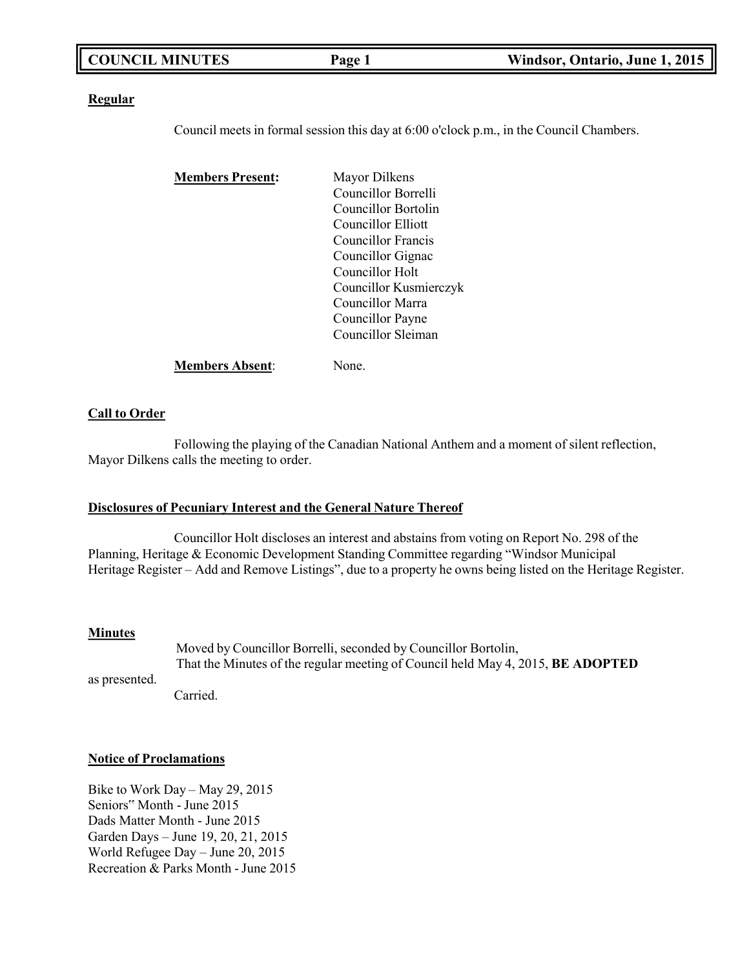|--|

#### **Regular**

Council meets in formal session this day at 6:00 o'clock p.m., in the Council Chambers.

| <b>Members Present:</b> | <b>Mayor Dilkens</b>   |
|-------------------------|------------------------|
|                         | Councillor Borrelli    |
|                         | Councillor Bortolin    |
|                         | Councillor Elliott     |
|                         | Councillor Francis     |
|                         | Councillor Gignac      |
|                         | Councillor Holt        |
|                         | Councillor Kusmierczyk |
|                         | Councillor Marra       |
|                         | Councillor Payne       |
|                         | Councillor Sleiman     |
| <b>Members Absent:</b>  | None.                  |

#### **Call to Order**

Following the playing of the Canadian National Anthem and a moment of silent reflection, Mayor Dilkens calls the meeting to order.

#### **Disclosures of Pecuniary Interest and the General Nature Thereof**

Councillor Holt discloses an interest and abstains from voting on Report No. 298 of the Planning, Heritage & Economic Development Standing Committee regarding "Windsor Municipal Heritage Register – Add and Remove Listings", due to a property he owns being listed on the Heritage Register.

#### **Minutes**

as presented.

Moved by Councillor Borrelli, seconded by Councillor Bortolin, That the Minutes of the regular meeting of Council held May 4, 2015, **BE ADOPTED**

Carried.

#### **Notice of Proclamations**

Bike to Work Day – May 29, 2015 Seniors" Month - June 2015 Dads Matter Month - June 2015 Garden Days – June 19, 20, 21, 2015 World Refugee Day – June 20, 2015 Recreation & Parks Month - June 2015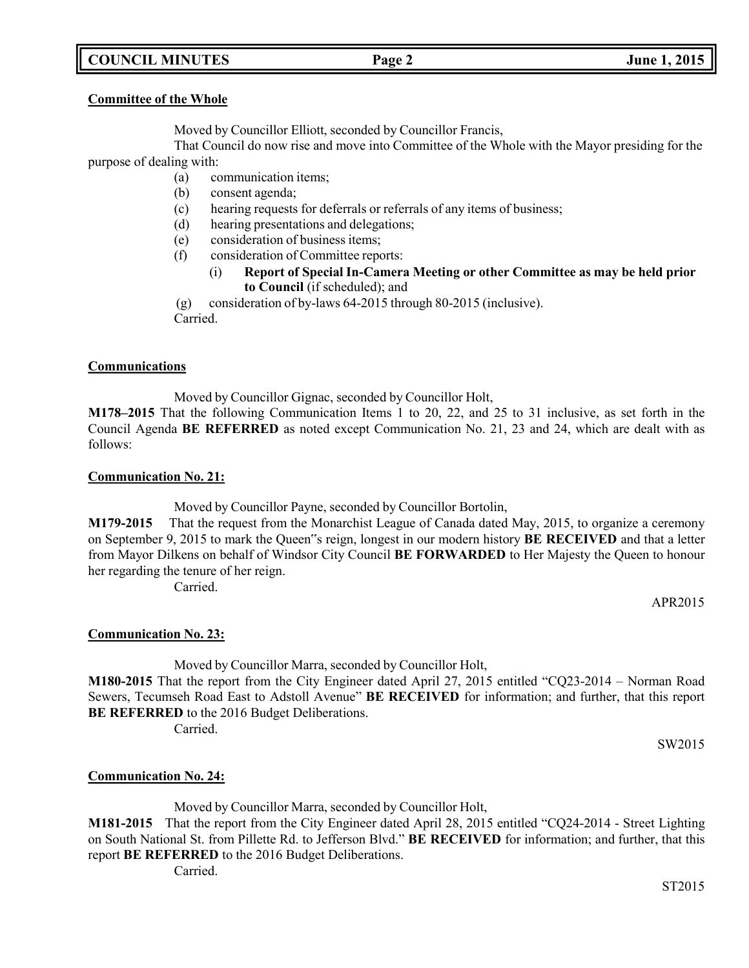# **COUNCIL MINUTES Page 2 June 1, 2015**

#### **Committee of the Whole**

Moved by Councillor Elliott, seconded by Councillor Francis,

That Council do now rise and move into Committee of the Whole with the Mayor presiding for the purpose of dealing with:

- (a) communication items;
- (b) consent agenda;
- (c) hearing requests for deferrals or referrals of any items of business;
- (d) hearing presentations and delegations;
- (e) consideration of business items;
- (f) consideration of Committee reports:
	- (i) **Report of Special In-Camera Meeting or other Committee as may be held prior to Council** (if scheduled); and

(g) consideration of by-laws 64-2015 through 80-2015 (inclusive).

Carried.

### **Communications**

Moved by Councillor Gignac, seconded by Councillor Holt,

**M178–2015** That the following Communication Items 1 to 20, 22, and 25 to 31 inclusive, as set forth in the Council Agenda **BE REFERRED** as noted except Communication No. 21, 23 and 24, which are dealt with as follows:

### **Communication No. 21:**

Moved by Councillor Payne, seconded by Councillor Bortolin,

**M179-2015** That the request from the Monarchist League of Canada dated May, 2015, to organize a ceremony on September 9, 2015 to mark the Queen"s reign, longest in our modern history **BE RECEIVED** and that a letter from Mayor Dilkens on behalf of Windsor City Council **BE FORWARDED** to Her Majesty the Queen to honour her regarding the tenure of her reign.

Carried.

APR2015

# **Communication No. 23:**

Moved by Councillor Marra, seconded by Councillor Holt,

**M180-2015** That the report from the City Engineer dated April 27, 2015 entitled "CQ23-2014 – Norman Road Sewers, Tecumseh Road East to Adstoll Avenue" **BE RECEIVED** for information; and further, that this report **BE REFERRED** to the 2016 Budget Deliberations.

Carried.

SW2015

# **Communication No. 24:**

Moved by Councillor Marra, seconded by Councillor Holt,

**M181-2015** That the report from the City Engineer dated April 28, 2015 entitled "CQ24-2014 - Street Lighting on South National St. from Pillette Rd. to Jefferson Blvd." **BE RECEIVED** for information; and further, that this report **BE REFERRED** to the 2016 Budget Deliberations.

Carried.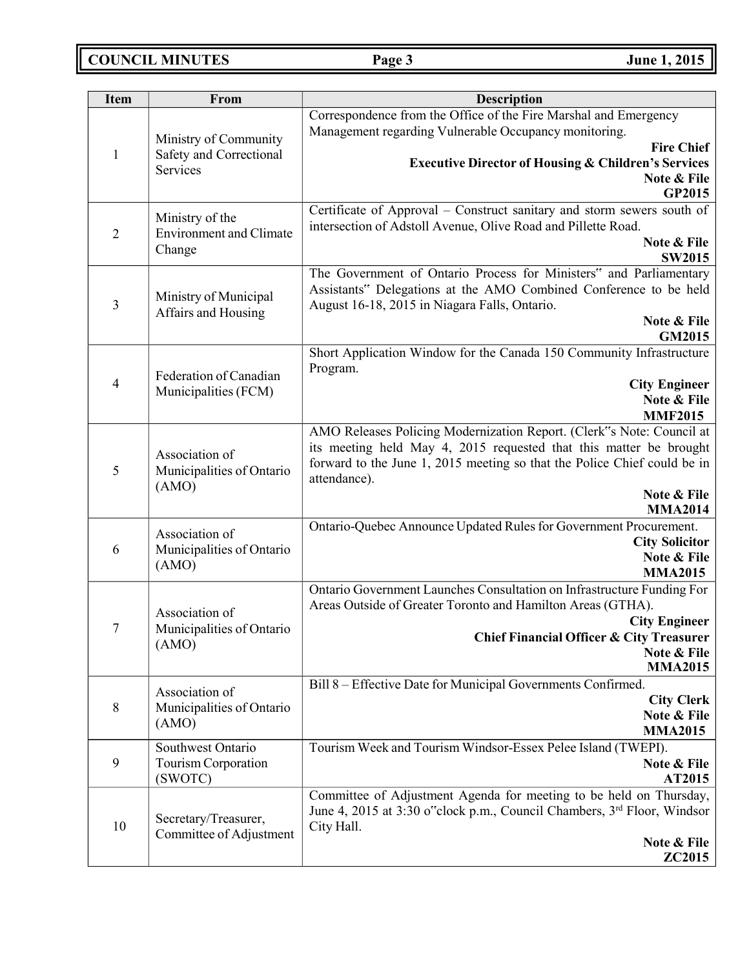**COUNCIL MINUTES Page 3 June 1, 2015**

| <b>Item</b>    | From                                                 | <b>Description</b>                                                                  |
|----------------|------------------------------------------------------|-------------------------------------------------------------------------------------|
|                |                                                      | Correspondence from the Office of the Fire Marshal and Emergency                    |
|                | Ministry of Community                                | Management regarding Vulnerable Occupancy monitoring.                               |
| $\mathbf{1}$   | Safety and Correctional                              | <b>Fire Chief</b>                                                                   |
|                | Services                                             | <b>Executive Director of Housing &amp; Children's Services</b>                      |
|                |                                                      | Note & File<br>GP2015                                                               |
|                |                                                      | Certificate of Approval - Construct sanitary and storm sewers south of              |
|                | Ministry of the                                      | intersection of Adstoll Avenue, Olive Road and Pillette Road.                       |
| $\overline{2}$ | <b>Environment and Climate</b>                       | Note & File                                                                         |
|                | Change                                               | <b>SW2015</b>                                                                       |
|                |                                                      | The Government of Ontario Process for Ministers" and Parliamentary                  |
|                |                                                      | Assistants" Delegations at the AMO Combined Conference to be held                   |
| 3              | Ministry of Municipal<br>Affairs and Housing         | August 16-18, 2015 in Niagara Falls, Ontario.                                       |
|                |                                                      | Note & File                                                                         |
|                |                                                      | GM2015                                                                              |
|                |                                                      | Short Application Window for the Canada 150 Community Infrastructure                |
|                | Federation of Canadian                               | Program.                                                                            |
| 4              | Municipalities (FCM)                                 | <b>City Engineer</b><br>Note & File                                                 |
|                |                                                      | <b>MMF2015</b>                                                                      |
|                |                                                      | AMO Releases Policing Modernization Report. (Clerk"s Note: Council at               |
|                |                                                      | its meeting held May 4, 2015 requested that this matter be brought                  |
|                | Association of<br>Municipalities of Ontario<br>(AMO) | forward to the June 1, 2015 meeting so that the Police Chief could be in            |
| 5              |                                                      | attendance).                                                                        |
|                |                                                      | Note & File                                                                         |
|                |                                                      | <b>MMA2014</b>                                                                      |
|                | Association of                                       | Ontario-Quebec Announce Updated Rules for Government Procurement.                   |
| 6              | Municipalities of Ontario                            | <b>City Solicitor</b><br>Note & File                                                |
|                | (AMO)                                                | <b>MMA2015</b>                                                                      |
|                |                                                      | Ontario Government Launches Consultation on Infrastructure Funding For              |
|                |                                                      | Areas Outside of Greater Toronto and Hamilton Areas (GTHA).                         |
|                | Association of                                       | <b>City Engineer</b>                                                                |
| 7              | Municipalities of Ontario                            | <b>Chief Financial Officer &amp; City Treasurer</b>                                 |
|                | (AMO)                                                | Note & File                                                                         |
|                |                                                      | <b>MMA2015</b>                                                                      |
|                | Association of                                       | Bill 8 - Effective Date for Municipal Governments Confirmed.                        |
| 8              | Municipalities of Ontario                            | <b>City Clerk</b>                                                                   |
|                | (AMO)                                                | Note & File<br><b>MMA2015</b>                                                       |
|                | Southwest Ontario                                    | Tourism Week and Tourism Windsor-Essex Pelee Island (TWEPI).                        |
| 9              | Tourism Corporation                                  | Note & File                                                                         |
|                | (SWOTC)                                              | AT2015                                                                              |
|                |                                                      | Committee of Adjustment Agenda for meeting to be held on Thursday,                  |
| 10             | Secretary/Treasurer,<br>Committee of Adjustment      | June 4, 2015 at 3:30 o"clock p.m., Council Chambers, 3 <sup>rd</sup> Floor, Windsor |
|                |                                                      | City Hall.                                                                          |
|                |                                                      | Note & File                                                                         |
|                |                                                      | <b>ZC2015</b>                                                                       |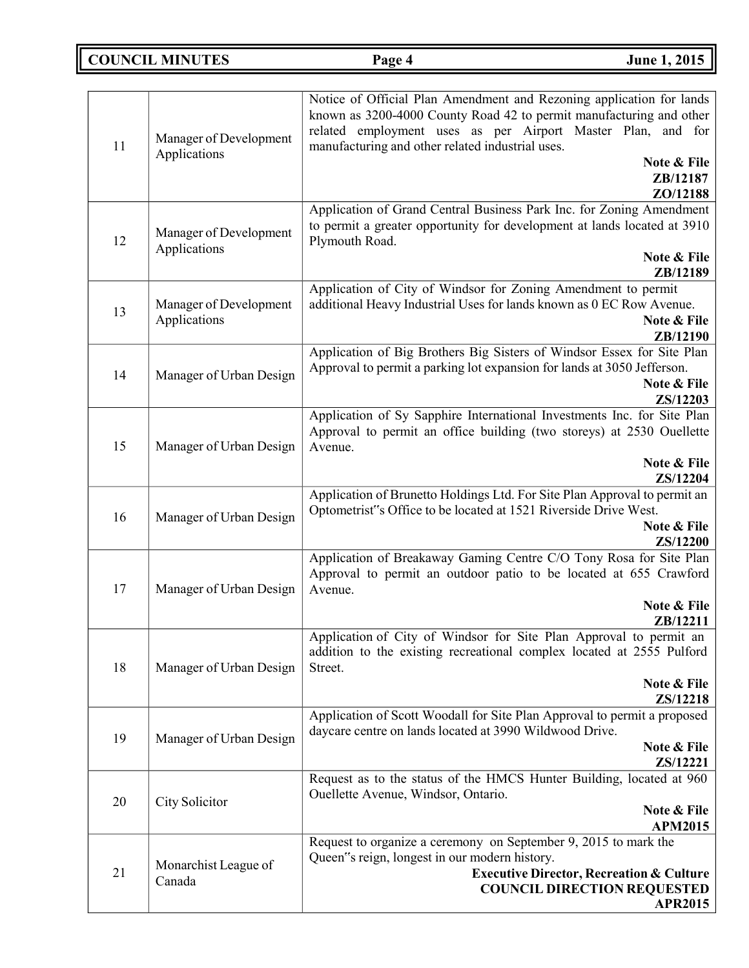# **COUNCIL MINUTES Page 4 June 1, 2015**

| 11 | Manager of Development<br>Applications | Notice of Official Plan Amendment and Rezoning application for lands<br>known as 3200-4000 County Road 42 to permit manufacturing and other<br>related employment uses as per Airport Master Plan, and for<br>manufacturing and other related industrial uses.<br>Note & File |
|----|----------------------------------------|-------------------------------------------------------------------------------------------------------------------------------------------------------------------------------------------------------------------------------------------------------------------------------|
|    |                                        | ZB/12187<br>ZO/12188                                                                                                                                                                                                                                                          |
| 12 | Manager of Development<br>Applications | Application of Grand Central Business Park Inc. for Zoning Amendment<br>to permit a greater opportunity for development at lands located at 3910<br>Plymouth Road.<br>Note & File                                                                                             |
|    |                                        | ZB/12189                                                                                                                                                                                                                                                                      |
|    | Manager of Development                 | Application of City of Windsor for Zoning Amendment to permit<br>additional Heavy Industrial Uses for lands known as 0 EC Row Avenue.                                                                                                                                         |
| 13 | Applications                           | Note & File                                                                                                                                                                                                                                                                   |
|    |                                        | ZB/12190<br>Application of Big Brothers Big Sisters of Windsor Essex for Site Plan                                                                                                                                                                                            |
| 14 | Manager of Urban Design                | Approval to permit a parking lot expansion for lands at 3050 Jefferson.                                                                                                                                                                                                       |
|    |                                        | Note & File<br>ZS/12203                                                                                                                                                                                                                                                       |
|    |                                        | Application of Sy Sapphire International Investments Inc. for Site Plan                                                                                                                                                                                                       |
|    |                                        | Approval to permit an office building (two storeys) at 2530 Ouellette                                                                                                                                                                                                         |
| 15 | Manager of Urban Design                | Avenue.<br>Note & File                                                                                                                                                                                                                                                        |
|    |                                        | ZS/12204                                                                                                                                                                                                                                                                      |
| 16 |                                        | Application of Brunetto Holdings Ltd. For Site Plan Approval to permit an                                                                                                                                                                                                     |
|    | Manager of Urban Design                | Optometrist"s Office to be located at 1521 Riverside Drive West.<br>Note & File                                                                                                                                                                                               |
|    |                                        | ZS/12200                                                                                                                                                                                                                                                                      |
|    |                                        | Application of Breakaway Gaming Centre C/O Tony Rosa for Site Plan                                                                                                                                                                                                            |
| 17 | Manager of Urban Design                | Approval to permit an outdoor patio to be located at 655 Crawford<br>Avenue.                                                                                                                                                                                                  |
|    |                                        | Note & File                                                                                                                                                                                                                                                                   |
|    |                                        | ZB/12211<br>Application of City of Windsor for Site Plan Approval to permit an                                                                                                                                                                                                |
|    |                                        | addition to the existing recreational complex located at 2555 Pulford                                                                                                                                                                                                         |
| 18 | Manager of Urban Design                | Street.                                                                                                                                                                                                                                                                       |
|    |                                        | Note & File<br>ZS/12218                                                                                                                                                                                                                                                       |
|    |                                        | Application of Scott Woodall for Site Plan Approval to permit a proposed                                                                                                                                                                                                      |
| 19 | Manager of Urban Design                | daycare centre on lands located at 3990 Wildwood Drive.                                                                                                                                                                                                                       |
|    |                                        | Note & File<br>ZS/12221                                                                                                                                                                                                                                                       |
| 20 | City Solicitor                         | Request as to the status of the HMCS Hunter Building, located at 960                                                                                                                                                                                                          |
|    |                                        | Ouellette Avenue, Windsor, Ontario.<br>Note & File                                                                                                                                                                                                                            |
|    |                                        | <b>APM2015</b>                                                                                                                                                                                                                                                                |
|    |                                        | Request to organize a ceremony on September 9, 2015 to mark the                                                                                                                                                                                                               |
| 21 | Monarchist League of                   | Queen"s reign, longest in our modern history.                                                                                                                                                                                                                                 |
|    | Canada                                 | <b>Executive Director, Recreation &amp; Culture</b><br><b>COUNCIL DIRECTION REQUESTED</b>                                                                                                                                                                                     |
|    |                                        | <b>APR2015</b>                                                                                                                                                                                                                                                                |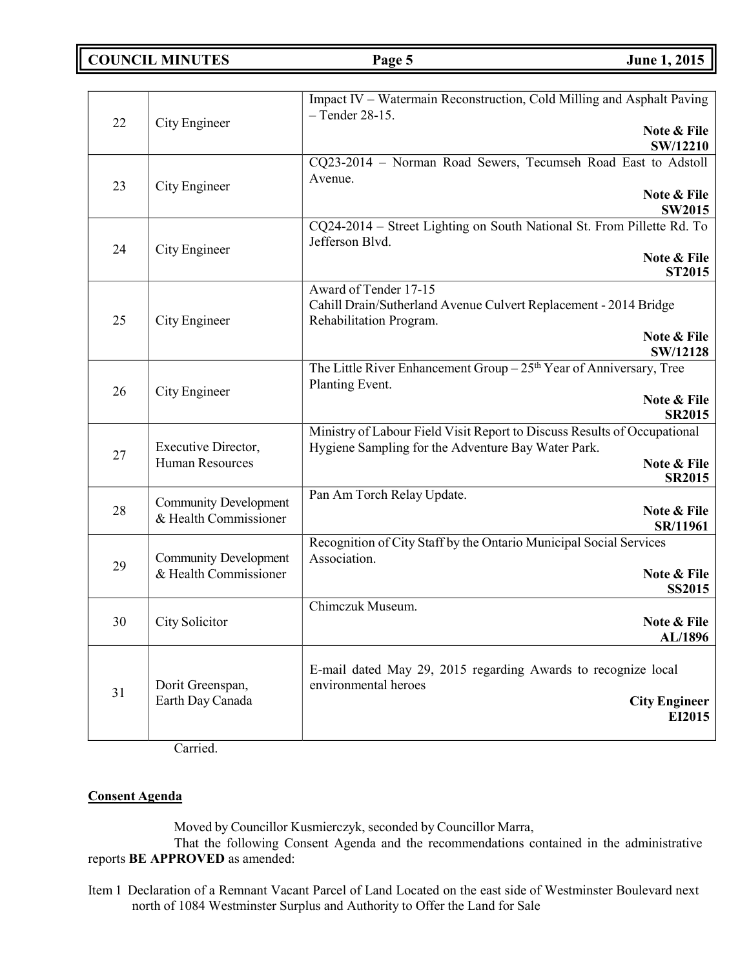**COUNCIL MINUTES Page 5 June 1, 2015**

| 22 | City Engineer                                         | Impact IV – Watermain Reconstruction, Cold Milling and Asphalt Paving<br>$-$ Tender 28-15.<br>Note & File<br><b>SW/12210</b>                                   |
|----|-------------------------------------------------------|----------------------------------------------------------------------------------------------------------------------------------------------------------------|
| 23 | City Engineer                                         | CQ23-2014 - Norman Road Sewers, Tecumseh Road East to Adstoll<br>Avenue.<br>Note & File<br><b>SW2015</b>                                                       |
| 24 | City Engineer                                         | CQ24-2014 - Street Lighting on South National St. From Pillette Rd. To<br>Jefferson Blvd.<br>Note & File<br>ST2015                                             |
| 25 | City Engineer                                         | Award of Tender 17-15<br>Cahill Drain/Sutherland Avenue Culvert Replacement - 2014 Bridge<br>Rehabilitation Program.<br>Note & File<br>SW/12128                |
| 26 | City Engineer                                         | The Little River Enhancement Group $-25th$ Year of Anniversary, Tree<br>Planting Event.<br>Note & File<br><b>SR2015</b>                                        |
| 27 | Executive Director,<br><b>Human Resources</b>         | Ministry of Labour Field Visit Report to Discuss Results of Occupational<br>Hygiene Sampling for the Adventure Bay Water Park.<br>Note & File<br><b>SR2015</b> |
| 28 | <b>Community Development</b><br>& Health Commissioner | Pan Am Torch Relay Update.<br>Note & File<br>SR/11961                                                                                                          |
| 29 | <b>Community Development</b><br>& Health Commissioner | Recognition of City Staff by the Ontario Municipal Social Services<br>Association.<br>Note & File<br><b>SS2015</b>                                             |
| 30 | City Solicitor                                        | Chimczuk Museum.<br>Note & File<br>AL/1896                                                                                                                     |
| 31 | Dorit Greenspan,<br>Earth Day Canada                  | E-mail dated May 29, 2015 regarding Awards to recognize local<br>environmental heroes<br><b>City Engineer</b><br>EI2015                                        |

Carried.

### **Consent Agenda**

Moved by Councillor Kusmierczyk, seconded by Councillor Marra,

That the following Consent Agenda and the recommendations contained in the administrative reports **BE APPROVED** as amended:

Item 1 Declaration of a Remnant Vacant Parcel of Land Located on the east side of Westminster Boulevard next north of 1084 Westminster Surplus and Authority to Offer the Land for Sale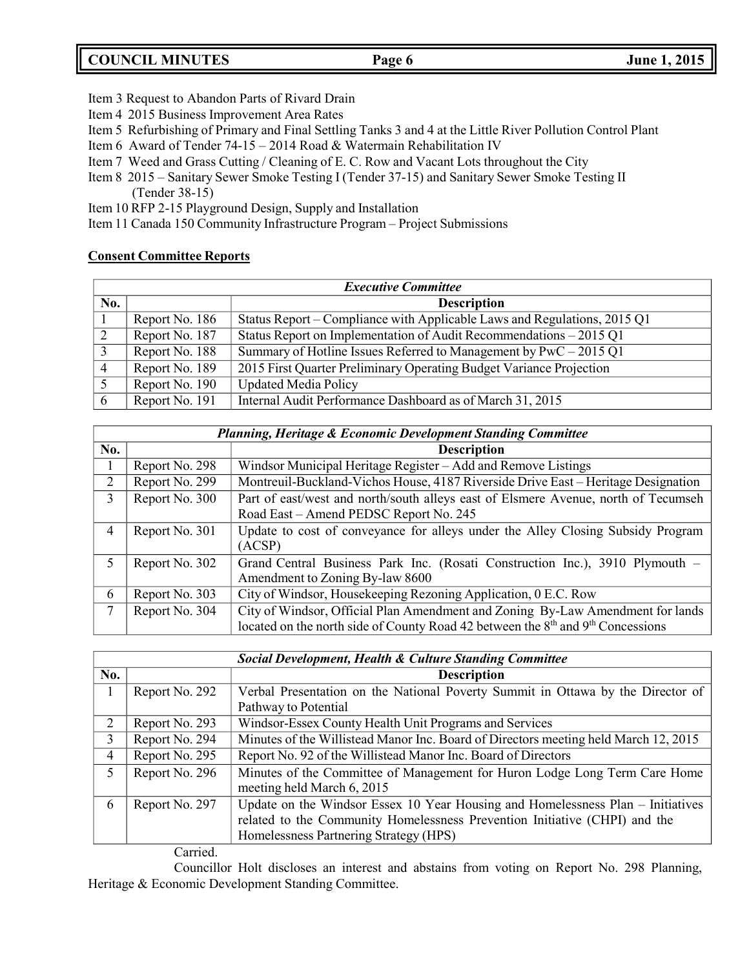# **COUNCIL MINUTES Page 6 June 1, 2015**

- Item 3 Request to Abandon Parts of Rivard Drain
- Item 4 2015 Business Improvement Area Rates
- Item 5 Refurbishing of Primary and Final Settling Tanks 3 and 4 at the Little River Pollution Control Plant
- Item 6 Award of Tender 74-15 2014 Road & Watermain Rehabilitation IV
- Item 7 Weed and Grass Cutting / Cleaning of E. C. Row and Vacant Lots throughout the City
- Item 8 2015 Sanitary Sewer Smoke Testing I (Tender 37-15) and Sanitary Sewer Smoke Testing II (Tender 38-15)
- Item 10 RFP 2-15 Playground Design, Supply and Installation
- Item 11 Canada 150 Community Infrastructure Program Project Submissions

### **Consent Committee Reports**

| <b>Executive Committee</b> |                |                                                                          |
|----------------------------|----------------|--------------------------------------------------------------------------|
| No.                        |                | <b>Description</b>                                                       |
|                            | Report No. 186 | Status Report – Compliance with Applicable Laws and Regulations, 2015 Q1 |
|                            | Report No. 187 | Status Report on Implementation of Audit Recommendations – 2015 Q1       |
|                            | Report No. 188 | Summary of Hotline Issues Referred to Management by $PWC - 2015$ Q1      |
|                            | Report No. 189 | 2015 First Quarter Preliminary Operating Budget Variance Projection      |
|                            | Report No. 190 | <b>Updated Media Policy</b>                                              |
|                            | Report No. 191 | Internal Audit Performance Dashboard as of March 31, 2015                |

|     | <b>Planning, Heritage &amp; Economic Development Standing Committee</b> |                                                                                                                                                                                           |  |
|-----|-------------------------------------------------------------------------|-------------------------------------------------------------------------------------------------------------------------------------------------------------------------------------------|--|
| No. |                                                                         | <b>Description</b>                                                                                                                                                                        |  |
|     | Report No. 298                                                          | Windsor Municipal Heritage Register – Add and Remove Listings                                                                                                                             |  |
| 2   | Report No. 299                                                          | Montreuil-Buckland-Vichos House, 4187 Riverside Drive East – Heritage Designation                                                                                                         |  |
| 3   | Report No. 300                                                          | Part of east/west and north/south alleys east of Elsmere Avenue, north of Tecumseh<br>Road East – Amend PEDSC Report No. 245                                                              |  |
| 4   | Report No. 301                                                          | Update to cost of conveyance for alleys under the Alley Closing Subsidy Program<br>(ACSP)                                                                                                 |  |
| 5   | Report No. 302                                                          | Grand Central Business Park Inc. (Rosati Construction Inc.), 3910 Plymouth -<br>Amendment to Zoning By-law 8600                                                                           |  |
| 6   | Report No. 303                                                          | City of Windsor, Housekeeping Rezoning Application, 0 E.C. Row                                                                                                                            |  |
| 7   | Report No. 304                                                          | City of Windsor, Official Plan Amendment and Zoning By-Law Amendment for lands<br>located on the north side of County Road 42 between the 8 <sup>th</sup> and 9 <sup>th</sup> Concessions |  |

|     |                | <b>Social Development, Health &amp; Culture Standing Committee</b>                  |
|-----|----------------|-------------------------------------------------------------------------------------|
| No. |                | <b>Description</b>                                                                  |
|     | Report No. 292 | Verbal Presentation on the National Poverty Summit in Ottawa by the Director of     |
|     |                | Pathway to Potential                                                                |
| 2   | Report No. 293 | Windsor-Essex County Health Unit Programs and Services                              |
| 3   | Report No. 294 | Minutes of the Willistead Manor Inc. Board of Directors meeting held March 12, 2015 |
| 4   | Report No. 295 | Report No. 92 of the Willistead Manor Inc. Board of Directors                       |
| 5   | Report No. 296 | Minutes of the Committee of Management for Huron Lodge Long Term Care Home          |
|     |                | meeting held March 6, 2015                                                          |
| 6   | Report No. 297 | Update on the Windsor Essex 10 Year Housing and Homelessness Plan – Initiatives     |
|     |                | related to the Community Homelessness Prevention Initiative (CHPI) and the          |
|     |                | Homelessness Partnering Strategy (HPS)                                              |

Carried.

Councillor Holt discloses an interest and abstains from voting on Report No. 298 Planning, Heritage & Economic Development Standing Committee.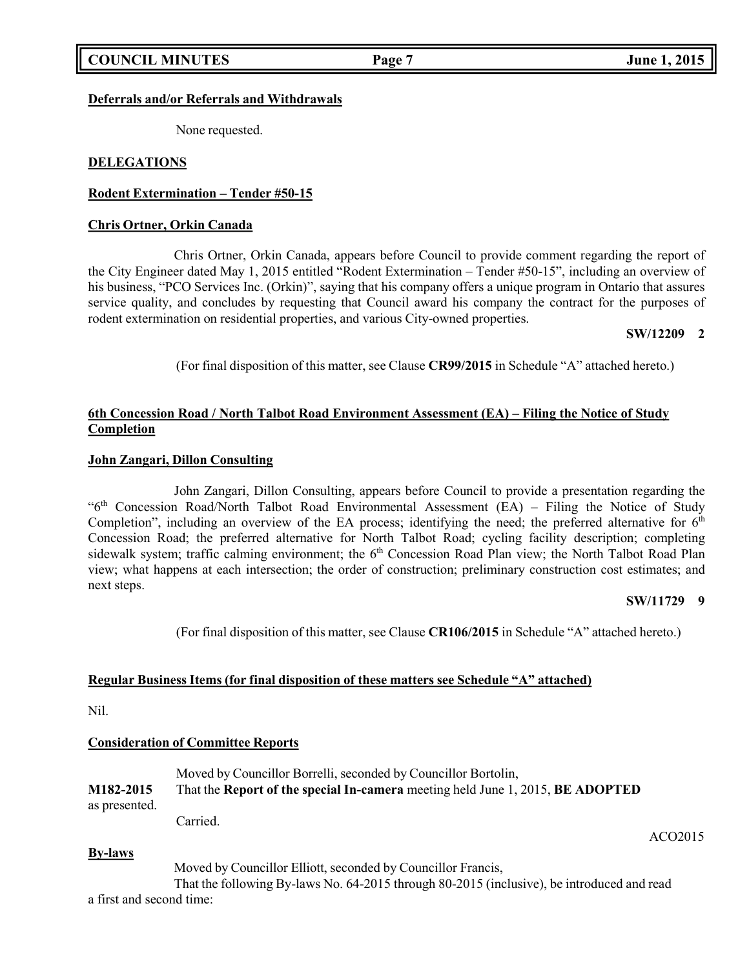### **Deferrals and/or Referrals and Withdrawals**

None requested.

### **DELEGATIONS**

### **Rodent Extermination – Tender #50-15**

### **Chris Ortner, Orkin Canada**

Chris Ortner, Orkin Canada, appears before Council to provide comment regarding the report of the City Engineer dated May 1, 2015 entitled "Rodent Extermination – Tender #50-15", including an overview of his business, "PCO Services Inc. (Orkin)", saying that his company offers a unique program in Ontario that assures service quality, and concludes by requesting that Council award his company the contract for the purposes of rodent extermination on residential properties, and various City-owned properties.

### **SW/12209 2**

(For final disposition of this matter, see Clause **CR99/2015** in Schedule "A" attached hereto.)

## **6th Concession Road / North Talbot Road Environment Assessment (EA) – Filing the Notice of Study Completion**

### **John Zangari, Dillon Consulting**

John Zangari, Dillon Consulting, appears before Council to provide a presentation regarding the "6th Concession Road/North Talbot Road Environmental Assessment (EA) – Filing the Notice of Study Completion", including an overview of the EA process; identifying the need; the preferred alternative for  $6<sup>th</sup>$ Concession Road; the preferred alternative for North Talbot Road; cycling facility description; completing sidewalk system; traffic calming environment; the 6<sup>th</sup> Concession Road Plan view; the North Talbot Road Plan view; what happens at each intersection; the order of construction; preliminary construction cost estimates; and next steps.

### **SW/11729 9**

(For final disposition of this matter, see Clause **CR106/2015** in Schedule "A" attached hereto.)

### **Regular Business Items (for final disposition of these matters see Schedule "A" attached)**

Nil.

### **Consideration of Committee Reports**

|               | Moved by Councillor Borrelli, seconded by Councillor Bortolin,                 |
|---------------|--------------------------------------------------------------------------------|
| M182-2015     | That the Report of the special In-camera meeting held June 1, 2015, BE ADOPTED |
| as presented. |                                                                                |
|               | Carried.                                                                       |

### **By-laws**

Moved by Councillor Elliott, seconded by Councillor Francis,

That the following By-laws No. 64-2015 through 80-2015 (inclusive), be introduced and read a first and second time:

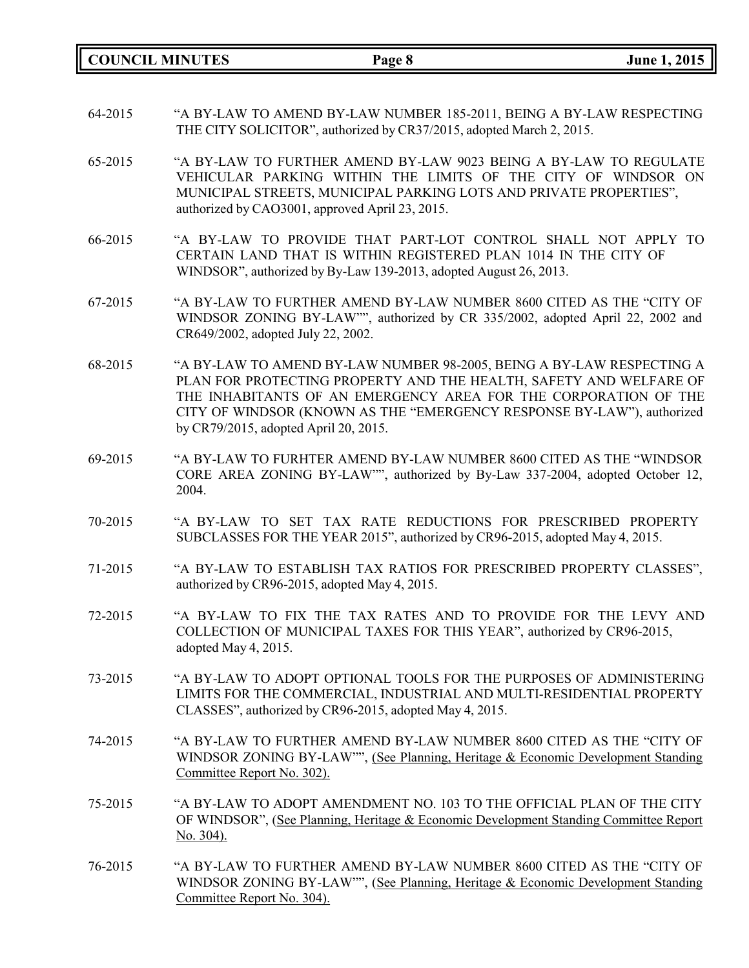**COUNCIL MINUTES Page 8 June 1, 2015**

- 64-2015 "A BY-LAW TO AMEND BY-LAW NUMBER 185-2011, BEING A BY-LAW RESPECTING THE CITY SOLICITOR", authorized by CR37/2015, adopted March 2, 2015.
- 65-2015 "A BY-LAW TO FURTHER AMEND BY-LAW 9023 BEING A BY-LAW TO REGULATE VEHICULAR PARKING WITHIN THE LIMITS OF THE CITY OF WINDSOR ON MUNICIPAL STREETS, MUNICIPAL PARKING LOTS AND PRIVATE PROPERTIES", authorized by CAO3001, approved April 23, 2015.
- 66-2015 "A BY-LAW TO PROVIDE THAT PART-LOT CONTROL SHALL NOT APPLY TO CERTAIN LAND THAT IS WITHIN REGISTERED PLAN 1014 IN THE CITY OF WINDSOR", authorized by By-Law 139-2013, adopted August 26, 2013.
- 67-2015 "A BY-LAW TO FURTHER AMEND BY-LAW NUMBER 8600 CITED AS THE "CITY OF WINDSOR ZONING BY-LAW"", authorized by CR 335/2002, adopted April 22, 2002 and CR649/2002, adopted July 22, 2002.
- 68-2015 "A BY-LAW TO AMEND BY-LAW NUMBER 98-2005, BEING A BY-LAW RESPECTING A PLAN FOR PROTECTING PROPERTY AND THE HEALTH, SAFETY AND WELFARE OF THE INHABITANTS OF AN EMERGENCY AREA FOR THE CORPORATION OF THE CITY OF WINDSOR (KNOWN AS THE "EMERGENCY RESPONSE BY-LAW"), authorized by CR79/2015, adopted April 20, 2015.
- 69-2015 "A BY-LAW TO FURHTER AMEND BY-LAW NUMBER 8600 CITED AS THE "WINDSOR CORE AREA ZONING BY-LAW"", authorized by By-Law 337-2004, adopted October 12, 2004.
- 70-2015 "A BY-LAW TO SET TAX RATE REDUCTIONS FOR PRESCRIBED PROPERTY SUBCLASSES FOR THE YEAR 2015", authorized by CR96-2015, adopted May 4, 2015.
- 71-2015 "A BY-LAW TO ESTABLISH TAX RATIOS FOR PRESCRIBED PROPERTY CLASSES", authorized by CR96-2015, adopted May 4, 2015.
- 72-2015 "A BY-LAW TO FIX THE TAX RATES AND TO PROVIDE FOR THE LEVY AND COLLECTION OF MUNICIPAL TAXES FOR THIS YEAR", authorized by CR96-2015, adopted May 4, 2015.
- 73-2015 "A BY-LAW TO ADOPT OPTIONAL TOOLS FOR THE PURPOSES OF ADMINISTERING LIMITS FOR THE COMMERCIAL, INDUSTRIAL AND MULTI-RESIDENTIAL PROPERTY CLASSES", authorized by CR96-2015, adopted May 4, 2015.
- 74-2015 "A BY-LAW TO FURTHER AMEND BY-LAW NUMBER 8600 CITED AS THE "CITY OF WINDSOR ZONING BY-LAW"", (See Planning, Heritage & Economic Development Standing Committee Report No. 302).
- 75-2015 "A BY-LAW TO ADOPT AMENDMENT NO. 103 TO THE OFFICIAL PLAN OF THE CITY OF WINDSOR", (See Planning, Heritage & Economic Development Standing Committee Report No. 304).
- 76-2015 "A BY-LAW TO FURTHER AMEND BY-LAW NUMBER 8600 CITED AS THE "CITY OF WINDSOR ZONING BY-LAW"", (See Planning, Heritage & Economic Development Standing Committee Report No. 304).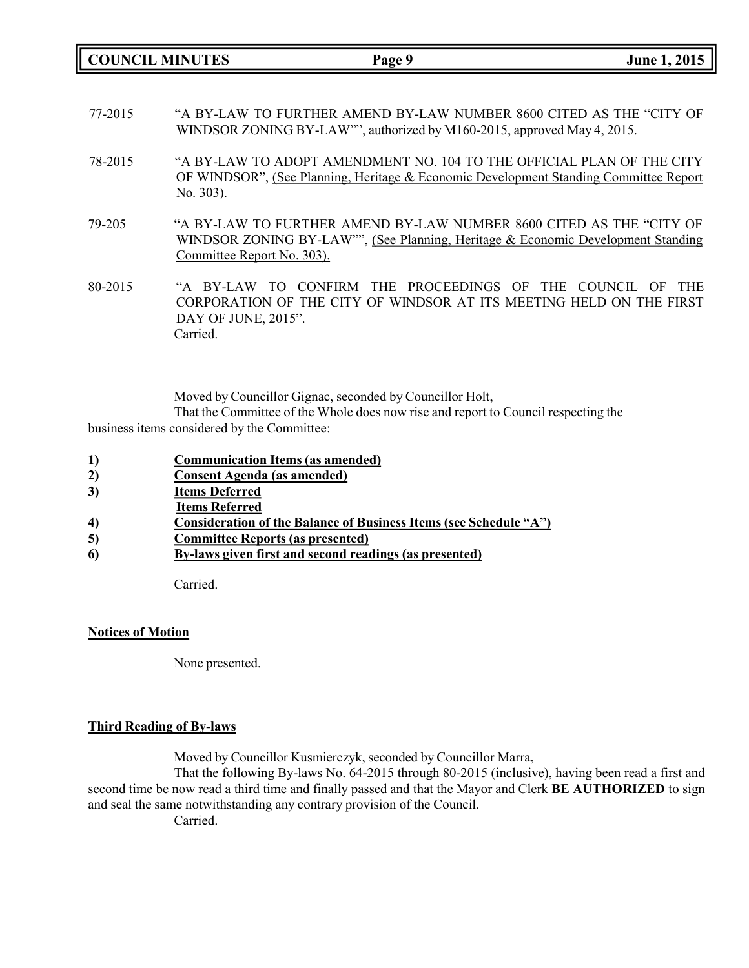**COUNCIL MINUTES Page 9 June 1, 2015**

- 77-2015 "A BY-LAW TO FURTHER AMEND BY-LAW NUMBER 8600 CITED AS THE "CITY OF WINDSOR ZONING BY-LAW"", authorized by M160-2015, approved May 4, 2015.
- 78-2015 "A BY-LAW TO ADOPT AMENDMENT NO. 104 TO THE OFFICIAL PLAN OF THE CITY OF WINDSOR", (See Planning, Heritage & Economic Development Standing Committee Report No. 303).
- 79-205 "A BY-LAW TO FURTHER AMEND BY-LAW NUMBER 8600 CITED AS THE "CITY OF WINDSOR ZONING BY-LAW"", (See Planning, Heritage & Economic Development Standing Committee Report No. 303).
- 80-2015 "A BY-LAW TO CONFIRM THE PROCEEDINGS OF THE COUNCIL OF THE CORPORATION OF THE CITY OF WINDSOR AT ITS MEETING HELD ON THE FIRST DAY OF JUNE, 2015". Carried.

Moved by Councillor Gignac, seconded by Councillor Holt,

That the Committee of the Whole does now rise and report to Council respecting the business items considered by the Committee:

- **1) Communication Items (as amended)**
- **2) Consent Agenda (as amended)**
- **3) Items Deferred**
- **Items Referred**
- **4) Consideration of the Balance of Business Items (see Schedule "A")**
- **5) Committee Reports (as presented)**
- **6) By-laws given first and second readings (as presented)**

Carried.

### **Notices of Motion**

None presented.

### **Third Reading of By-laws**

Moved by Councillor Kusmierczyk, seconded by Councillor Marra,

That the following By-laws No. 64-2015 through 80-2015 (inclusive), having been read a first and second time be now read a third time and finally passed and that the Mayor and Clerk **BE AUTHORIZED** to sign and seal the same notwithstanding any contrary provision of the Council.

Carried.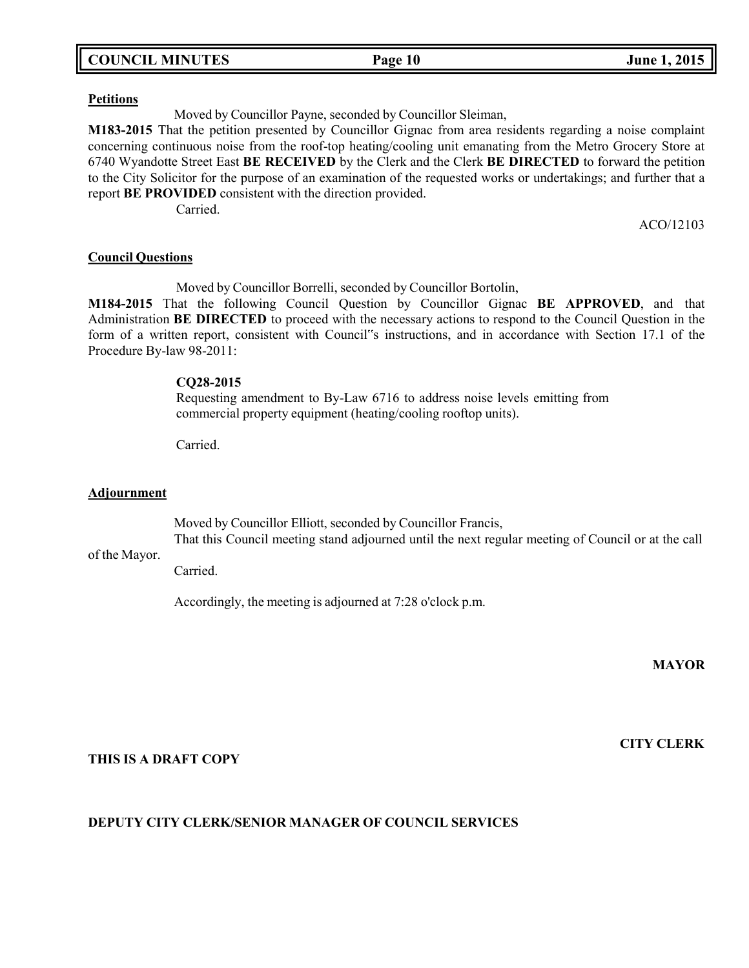|  | <b>COUNCIL MINUTES</b> |
|--|------------------------|
|--|------------------------|

#### **Petitions**

Moved by Councillor Payne, seconded by Councillor Sleiman,

**M183-2015** That the petition presented by Councillor Gignac from area residents regarding a noise complaint concerning continuous noise from the roof-top heating/cooling unit emanating from the Metro Grocery Store at 6740 Wyandotte Street East **BE RECEIVED** by the Clerk and the Clerk **BE DIRECTED** to forward the petition to the City Solicitor for the purpose of an examination of the requested works or undertakings; and further that a report **BE PROVIDED** consistent with the direction provided.

Carried.

ACO/12103

#### **Council Questions**

Moved by Councillor Borrelli, seconded by Councillor Bortolin,

**M184-2015** That the following Council Question by Councillor Gignac **BE APPROVED**, and that Administration **BE DIRECTED** to proceed with the necessary actions to respond to the Council Question in the form of a written report, consistent with Council"s instructions, and in accordance with Section 17.1 of the Procedure By-law 98-2011:

### **CQ28-2015**

Requesting amendment to By-Law 6716 to address noise levels emitting from commercial property equipment (heating/cooling rooftop units).

Carried.

#### **Adjournment**

Moved by Councillor Elliott, seconded by Councillor Francis,

of the Mayor. That this Council meeting stand adjourned until the next regular meeting of Council or at the call

Carried.

Accordingly, the meeting is adjourned at 7:28 o'clock p.m.

**MAYOR**

### **THIS IS A DRAFT COPY**

# **DEPUTY CITY CLERK/SENIOR MANAGER OF COUNCIL SERVICES**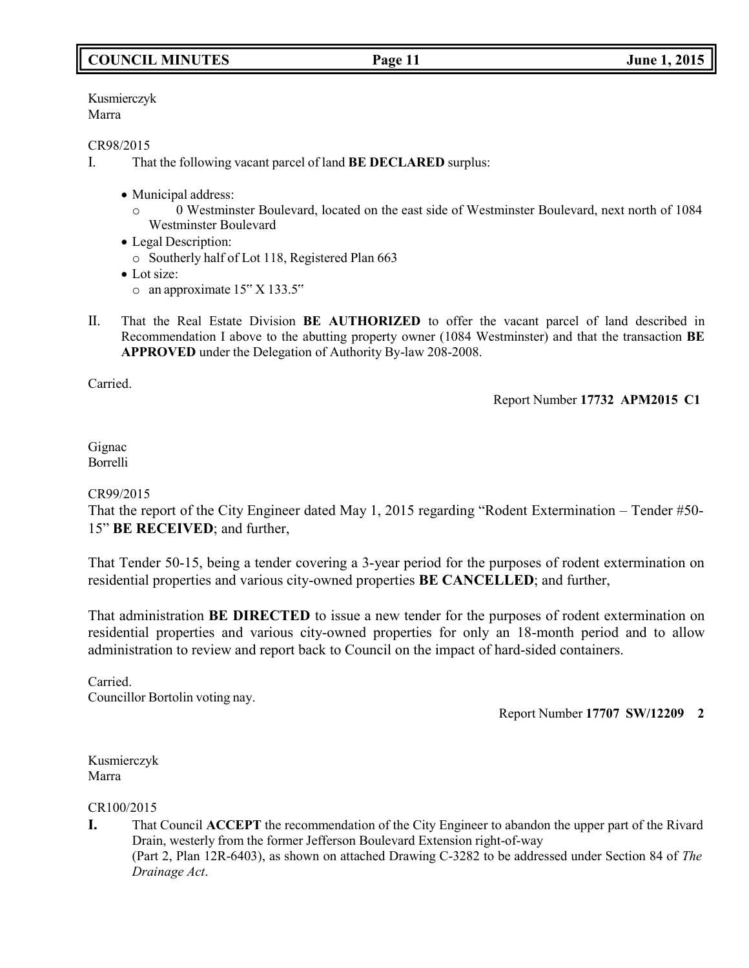# **COUNCIL MINUTES Page 11 June 1, 2015**

Kusmierczyk Marra

#### CR98/2015

- I. That the following vacant parcel of land **BE DECLARED** surplus:
	- Municipal address:
		- o 0 Westminster Boulevard, located on the east side of Westminster Boulevard, next north of 1084 Westminster Boulevard
	- Legal Description:
	- o Southerly half of Lot 118, Registered Plan 663
	- Lot size:
		- $\circ$  an approximate 15" X 133.5"
- II. That the Real Estate Division **BE AUTHORIZED** to offer the vacant parcel of land described in Recommendation I above to the abutting property owner (1084 Westminster) and that the transaction **BE APPROVED** under the Delegation of Authority By-law 208-2008.

Carried.

Report Number **17732 APM2015 C1**

#### Gignac Borrelli

### CR99/2015

That the report of the City Engineer dated May 1, 2015 regarding "Rodent Extermination – Tender #50- 15" **BE RECEIVED**; and further,

That Tender 50-15, being a tender covering a 3-year period for the purposes of rodent extermination on residential properties and various city-owned properties **BE CANCELLED**; and further,

That administration **BE DIRECTED** to issue a new tender for the purposes of rodent extermination on residential properties and various city-owned properties for only an 18-month period and to allow administration to review and report back to Council on the impact of hard-sided containers.

Carried. Councillor Bortolin voting nay.

Report Number **17707 SW/12209 2**

Kusmierczyk Marra

CR100/2015

**I.** That Council **ACCEPT** the recommendation of the City Engineer to abandon the upper part of the Rivard Drain, westerly from the former Jefferson Boulevard Extension right-of-way (Part 2, Plan 12R-6403), as shown on attached Drawing C-3282 to be addressed under Section 84 of *The Drainage Act*.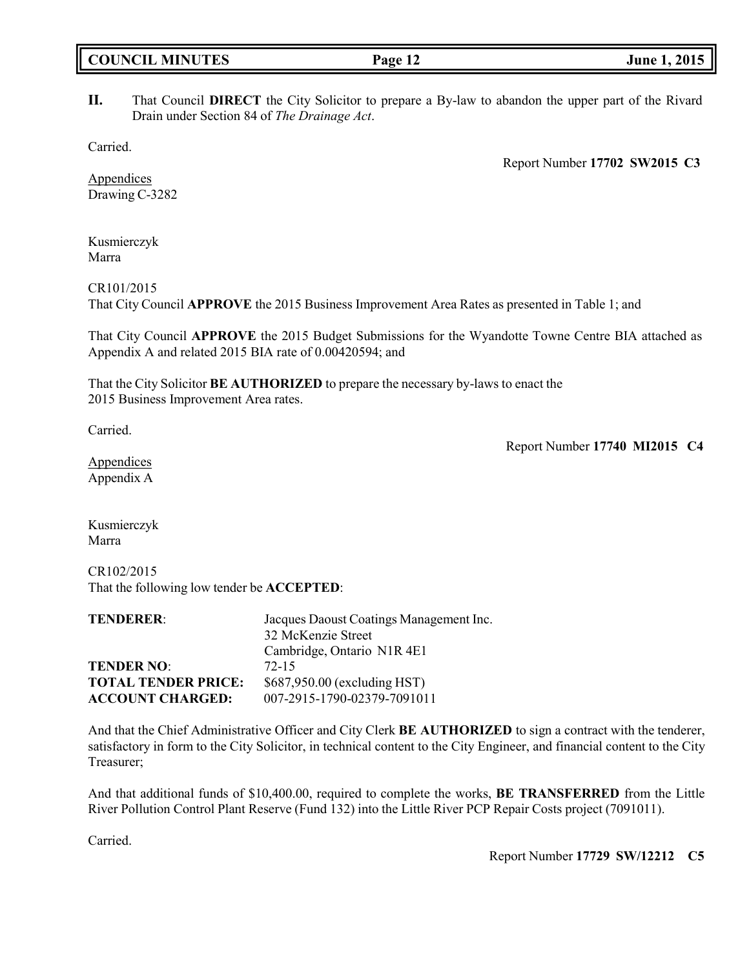| <b>COUNCIL MINUTES</b> |  |  |
|------------------------|--|--|
|------------------------|--|--|

### **II.** That Council **DIRECT** the City Solicitor to prepare a By-law to abandon the upper part of the Rivard Drain under Section 84 of *The Drainage Act*.

Carried.

Report Number **17702 SW2015 C3**

Appendices Drawing C-3282

Kusmierczyk Marra

CR101/2015

That City Council **APPROVE** the 2015 Business Improvement Area Rates as presented in Table 1; and

That City Council **APPROVE** the 2015 Budget Submissions for the Wyandotte Towne Centre BIA attached as Appendix A and related 2015 BIA rate of 0.00420594; and

That the City Solicitor **BE AUTHORIZED** to prepare the necessary by-laws to enact the 2015 Business Improvement Area rates.

Carried.

Report Number **17740 MI2015 C4**

Appendices Appendix A

Kusmierczyk Marra

CR102/2015 That the following low tender be **ACCEPTED**:

| <b>TENDERER:</b>           | Jacques Daoust Coatings Management Inc. |
|----------------------------|-----------------------------------------|
|                            | 32 McKenzie Street                      |
|                            | Cambridge, Ontario N1R 4E1              |
| <b>TENDER NO:</b>          | $72-15$                                 |
| <b>TOTAL TENDER PRICE:</b> | \$687,950.00 (excluding HST)            |
| <b>ACCOUNT CHARGED:</b>    | 007-2915-1790-02379-7091011             |

And that the Chief Administrative Officer and City Clerk **BE AUTHORIZED** to sign a contract with the tenderer, satisfactory in form to the City Solicitor, in technical content to the City Engineer, and financial content to the City Treasurer;

And that additional funds of \$10,400.00, required to complete the works, **BE TRANSFERRED** from the Little River Pollution Control Plant Reserve (Fund 132) into the Little River PCP Repair Costs project (7091011).

Carried.

Report Number **17729 SW/12212 C5**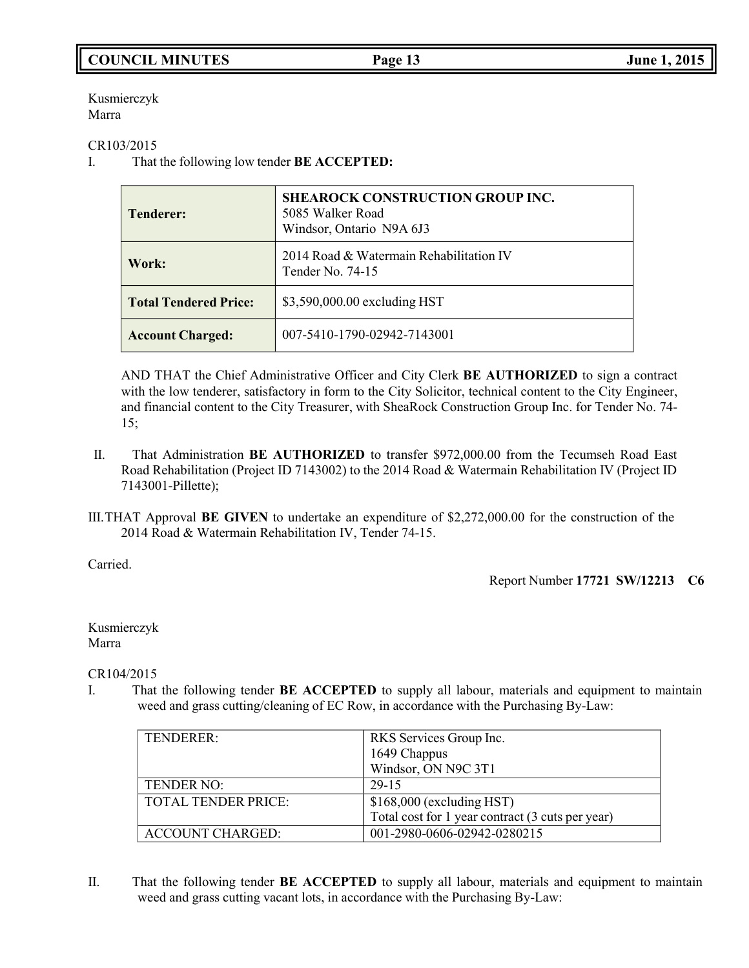# **COUNCIL MINUTES Page 13 June 1, 2015**

Kusmierczyk Marra

CR103/2015

I. That the following low tender **BE ACCEPTED:**

| <b>Tenderer:</b>             | <b>SHEAROCK CONSTRUCTION GROUP INC.</b><br>5085 Walker Road<br>Windsor, Ontario N9A 6J3 |
|------------------------------|-----------------------------------------------------------------------------------------|
| Work:                        | 2014 Road & Watermain Rehabilitation IV<br>Tender No. $74-15$                           |
| <b>Total Tendered Price:</b> | \$3,590,000.00 excluding HST                                                            |
| <b>Account Charged:</b>      | 007-5410-1790-02942-7143001                                                             |

AND THAT the Chief Administrative Officer and City Clerk **BE AUTHORIZED** to sign a contract with the low tenderer, satisfactory in form to the City Solicitor, technical content to the City Engineer, and financial content to the City Treasurer, with SheaRock Construction Group Inc. for Tender No. 74- 15;

- II. That Administration **BE AUTHORIZED** to transfer \$972,000.00 from the Tecumseh Road East Road Rehabilitation (Project ID 7143002) to the 2014 Road & Watermain Rehabilitation IV (Project ID 7143001-Pillette);
- III.THAT Approval **BE GIVEN** to undertake an expenditure of \$2,272,000.00 for the construction of the 2014 Road & Watermain Rehabilitation IV, Tender 74-15.

Carried.

Report Number **17721 SW/12213 C6**

Kusmierczyk Marra

CR104/2015

I. That the following tender **BE ACCEPTED** to supply all labour, materials and equipment to maintain weed and grass cutting/cleaning of EC Row, in accordance with the Purchasing By-Law:

| TENDERER:           | RKS Services Group Inc.                          |
|---------------------|--------------------------------------------------|
|                     | 1649 Chappus                                     |
|                     | Windsor, ON N9C 3T1                              |
| TENDER NO:          | 29-15                                            |
| TOTAL TENDER PRICE: | $$168,000$ (excluding HST)                       |
|                     | Total cost for 1 year contract (3 cuts per year) |
| ACCOUNT CHARGED:    | 001-2980-0606-02942-0280215                      |

II. That the following tender **BE ACCEPTED** to supply all labour, materials and equipment to maintain weed and grass cutting vacant lots, in accordance with the Purchasing By-Law: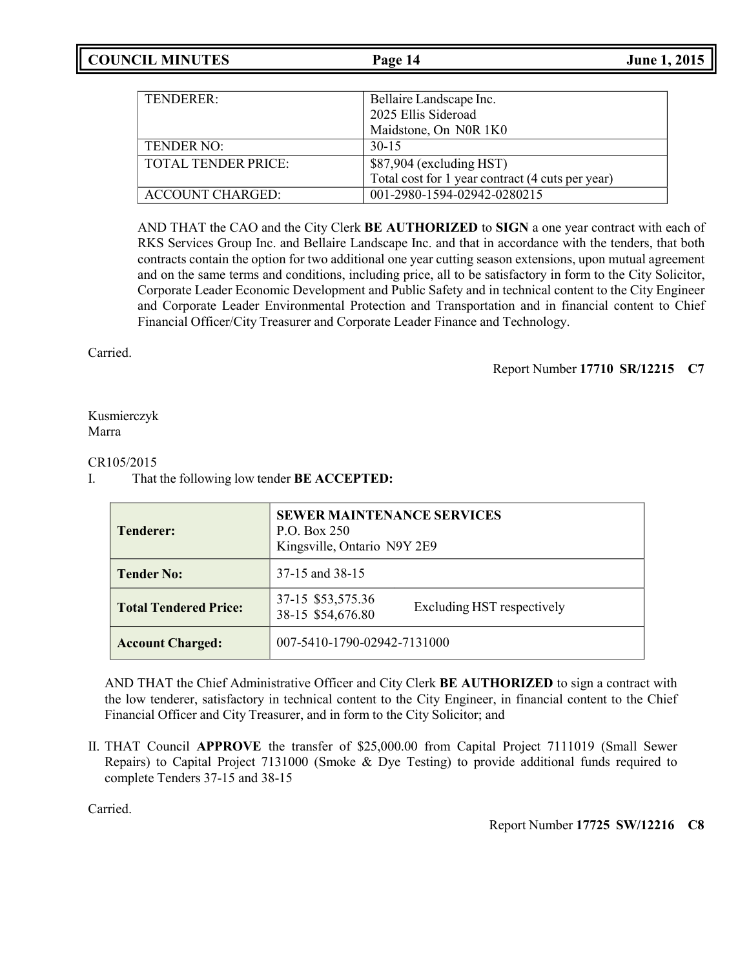| TENDERER:                  | Bellaire Landscape Inc.                          |
|----------------------------|--------------------------------------------------|
|                            | 2025 Ellis Sideroad                              |
|                            | Maidstone, On N0R 1K0                            |
| TENDER NO:                 | $30-15$                                          |
| <b>TOTAL TENDER PRICE:</b> | \$87,904 (excluding HST)                         |
|                            | Total cost for 1 year contract (4 cuts per year) |
| ACCOUNT CHARGED:           | 001-2980-1594-02942-0280215                      |

AND THAT the CAO and the City Clerk **BE AUTHORIZED** to **SIGN** a one year contract with each of RKS Services Group Inc. and Bellaire Landscape Inc. and that in accordance with the tenders, that both contracts contain the option for two additional one year cutting season extensions, upon mutual agreement and on the same terms and conditions, including price, all to be satisfactory in form to the City Solicitor, Corporate Leader Economic Development and Public Safety and in technical content to the City Engineer and Corporate Leader Environmental Protection and Transportation and in financial content to Chief Financial Officer/City Treasurer and Corporate Leader Finance and Technology.

Carried.

Report Number **17710 SR/12215 C7**

Kusmierczyk Marra

### CR105/2015

### I. That the following low tender **BE ACCEPTED:**

| <b>Tenderer:</b>             | <b>SEWER MAINTENANCE SERVICES</b><br>P.O. Box 250<br>Kingsville, Ontario N9Y 2E9 |  |
|------------------------------|----------------------------------------------------------------------------------|--|
| <b>Tender No:</b>            | 37-15 and 38-15                                                                  |  |
| <b>Total Tendered Price:</b> | 37-15 \$53,575.36<br>Excluding HST respectively<br>38-15 \$54,676.80             |  |
| <b>Account Charged:</b>      | 007-5410-1790-02942-7131000                                                      |  |

AND THAT the Chief Administrative Officer and City Clerk **BE AUTHORIZED** to sign a contract with the low tenderer, satisfactory in technical content to the City Engineer, in financial content to the Chief Financial Officer and City Treasurer, and in form to the City Solicitor; and

II. THAT Council **APPROVE** the transfer of \$25,000.00 from Capital Project 7111019 (Small Sewer Repairs) to Capital Project 7131000 (Smoke & Dye Testing) to provide additional funds required to complete Tenders 37-15 and 38-15

Carried.

Report Number **17725 SW/12216 C8**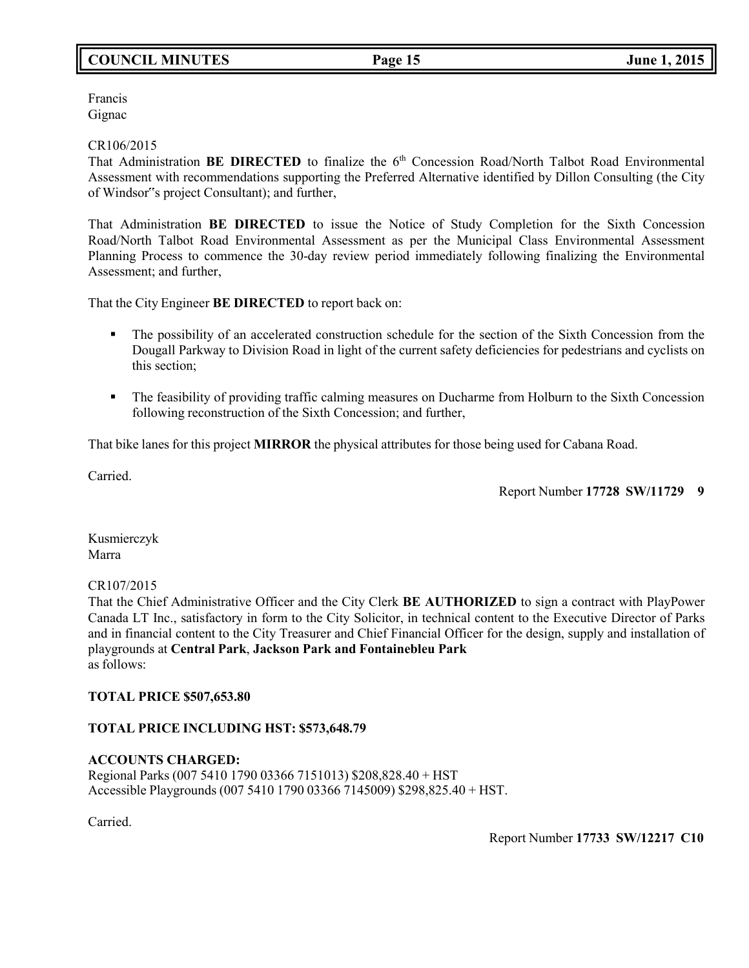# **COUNCIL MINUTES Page 15 June 1, 2015**

Francis Gignac

#### CR106/2015

That Administration **BE DIRECTED** to finalize the 6<sup>th</sup> Concession Road/North Talbot Road Environmental Assessment with recommendations supporting the Preferred Alternative identified by Dillon Consulting (the City of Windsor"s project Consultant); and further,

That Administration **BE DIRECTED** to issue the Notice of Study Completion for the Sixth Concession Road/North Talbot Road Environmental Assessment as per the Municipal Class Environmental Assessment Planning Process to commence the 30-day review period immediately following finalizing the Environmental Assessment; and further,

That the City Engineer **BE DIRECTED** to report back on:

- The possibility of an accelerated construction schedule for the section of the Sixth Concession from the Dougall Parkway to Division Road in light of the current safety deficiencies for pedestrians and cyclists on this section;
- **•** The feasibility of providing traffic calming measures on Ducharme from Holburn to the Sixth Concession following reconstruction of the Sixth Concession; and further,

That bike lanes for this project **MIRROR** the physical attributes for those being used for Cabana Road.

Carried.

Report Number **17728 SW/11729 9**

Kusmierczyk Marra

### CR107/2015

That the Chief Administrative Officer and the City Clerk **BE AUTHORIZED** to sign a contract with PlayPower Canada LT Inc., satisfactory in form to the City Solicitor, in technical content to the Executive Director of Parks and in financial content to the City Treasurer and Chief Financial Officer for the design, supply and installation of playgrounds at **Central Park**, **Jackson Park and Fontainebleu Park** as follows:

### **TOTAL PRICE \$507,653.80**

# **TOTAL PRICE INCLUDING HST: \$573,648.79**

#### **ACCOUNTS CHARGED:** Regional Parks (007 5410 1790 03366 7151013) \$208,828.40 + HST Accessible Playgrounds (007 5410 1790 03366 7145009) \$298,825.40 + HST.

Carried.

Report Number **17733 SW/12217 C10**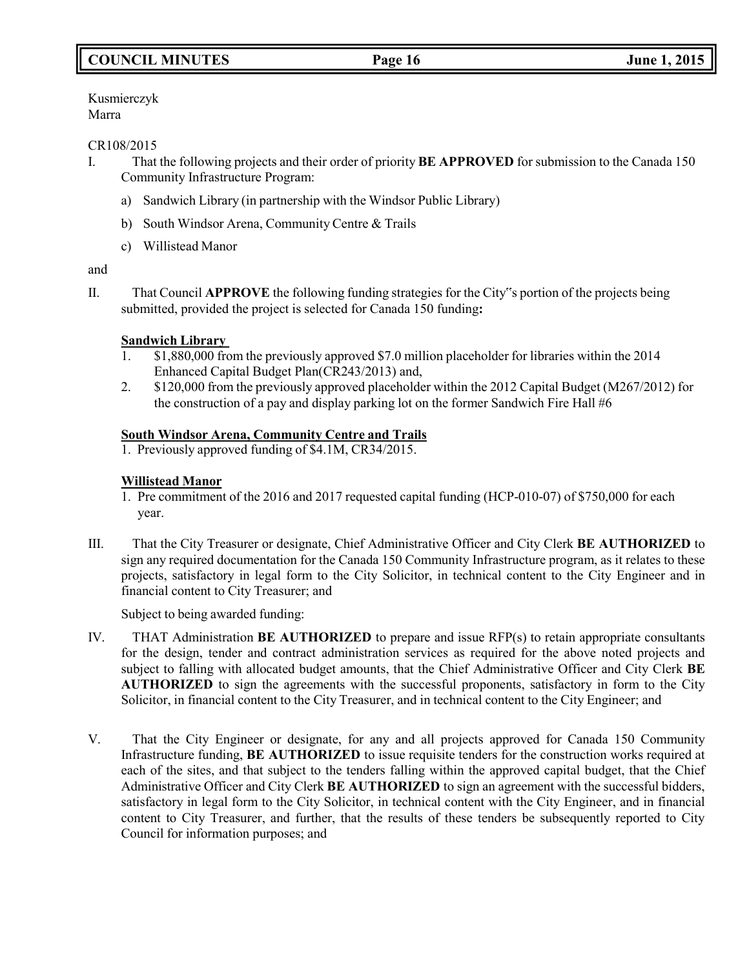# **COUNCIL MINUTES Page 16 June 1, 2015**

Kusmierczyk Marra

### CR108/2015

- I. That the following projects and their order of priority **BE APPROVED** for submission to the Canada 150 Community Infrastructure Program:
	- a) Sandwich Library (in partnership with the Windsor Public Library)
	- b) South Windsor Arena, Community Centre & Trails
	- c) Willistead Manor

### and

II. That Council **APPROVE** the following funding strategies for the City"s portion of the projects being submitted, provided the project is selected for Canada 150 funding**:**

# **Sandwich Library**

- 1. \$1,880,000 from the previously approved \$7.0 million placeholder for libraries within the 2014 Enhanced Capital Budget Plan(CR243/2013) and,
- 2. \$120,000 from the previously approved placeholder within the 2012 Capital Budget (M267/2012) for the construction of a pay and display parking lot on the former Sandwich Fire Hall #6

# **South Windsor Arena, Community Centre and Trails**

1. Previously approved funding of \$4.1M, CR34/2015.

# **Willistead Manor**

- 1. Pre commitment of the 2016 and 2017 requested capital funding (HCP-010-07) of \$750,000 for each year.
- III. That the City Treasurer or designate, Chief Administrative Officer and City Clerk **BE AUTHORIZED** to sign any required documentation for the Canada 150 Community Infrastructure program, as it relates to these projects, satisfactory in legal form to the City Solicitor, in technical content to the City Engineer and in financial content to City Treasurer; and

Subject to being awarded funding:

- IV. THAT Administration **BE AUTHORIZED** to prepare and issue RFP(s) to retain appropriate consultants for the design, tender and contract administration services as required for the above noted projects and subject to falling with allocated budget amounts, that the Chief Administrative Officer and City Clerk **BE AUTHORIZED** to sign the agreements with the successful proponents, satisfactory in form to the City Solicitor, in financial content to the City Treasurer, and in technical content to the City Engineer; and
- V. That the City Engineer or designate, for any and all projects approved for Canada 150 Community Infrastructure funding, **BE AUTHORIZED** to issue requisite tenders for the construction works required at each of the sites, and that subject to the tenders falling within the approved capital budget, that the Chief Administrative Officer and City Clerk **BE AUTHORIZED** to sign an agreement with the successful bidders, satisfactory in legal form to the City Solicitor, in technical content with the City Engineer, and in financial content to City Treasurer, and further, that the results of these tenders be subsequently reported to City Council for information purposes; and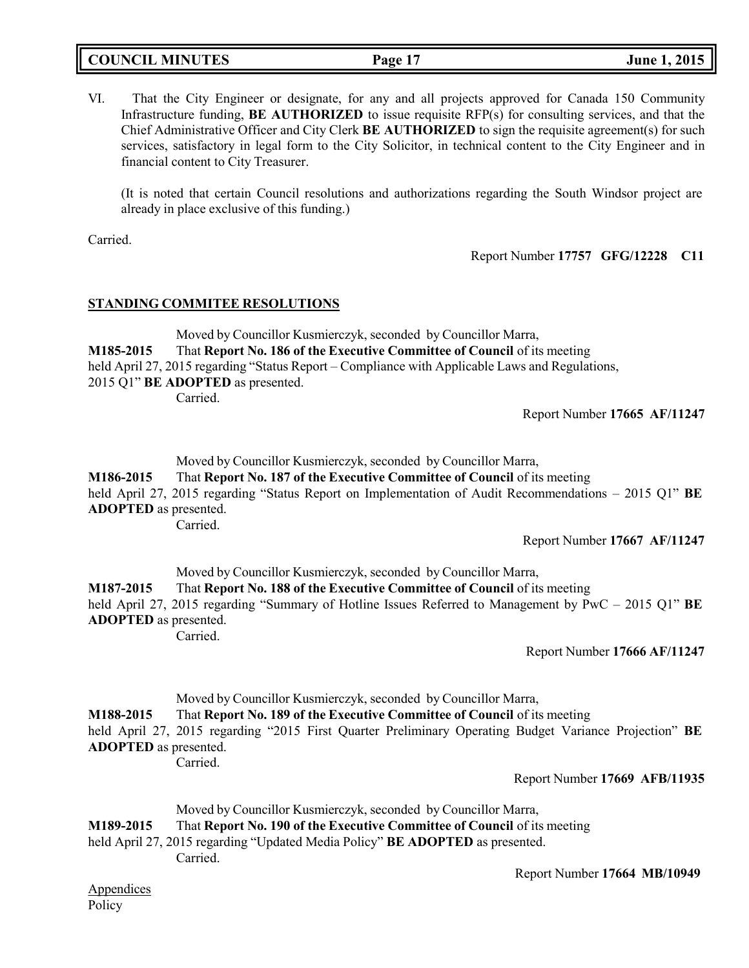# **COUNCIL MINUTES Page 17 June 1, 2015**

VI. That the City Engineer or designate, for any and all projects approved for Canada 150 Community Infrastructure funding, **BE AUTHORIZED** to issue requisite RFP(s) for consulting services, and that the Chief Administrative Officer and City Clerk **BE AUTHORIZED** to sign the requisite agreement(s) for such services, satisfactory in legal form to the City Solicitor, in technical content to the City Engineer and in financial content to City Treasurer.

(It is noted that certain Council resolutions and authorizations regarding the South Windsor project are already in place exclusive of this funding.)

Carried.

Report Number **17757 GFG/12228 C11**

### **STANDING COMMITEE RESOLUTIONS**

Moved by Councillor Kusmierczyk, seconded by Councillor Marra, **M185-2015** That **Report No. 186 of the Executive Committee of Council** of its meeting held April 27, 2015 regarding "Status Report – Compliance with Applicable Laws and Regulations, 2015 Q1" **BE ADOPTED** as presented. Carried.

Report Number **17665 AF/11247**

Moved by Councillor Kusmierczyk, seconded by Councillor Marra,

**M186-2015** That **Report No. 187 of the Executive Committee of Council** of its meeting

held April 27, 2015 regarding "Status Report on Implementation of Audit Recommendations – 2015 Q1" **BE ADOPTED** as presented.

Carried.

Report Number **17667 AF/11247**

Moved by Councillor Kusmierczyk, seconded by Councillor Marra,

**M187-2015** That **Report No. 188 of the Executive Committee of Council** of its meeting

held April 27, 2015 regarding "Summary of Hotline Issues Referred to Management by PwC – 2015 Q1" **BE ADOPTED** as presented. Carried.

Report Number **17666 AF/11247**

Moved by Councillor Kusmierczyk, seconded by Councillor Marra,

**M188-2015** That **Report No. 189 of the Executive Committee of Council** of its meeting

held April 27, 2015 regarding "2015 First Quarter Preliminary Operating Budget Variance Projection" **BE ADOPTED** as presented.

Report Number **17669 AFB/11935**

Moved by Councillor Kusmierczyk, seconded by Councillor Marra,

**M189-2015** That **Report No. 190 of the Executive Committee of Council** of its meeting

#### held April 27, 2015 regarding "Updated Media Policy" **BE ADOPTED** as presented. Carried.

Carried.

Report Number **17664 MB/10949**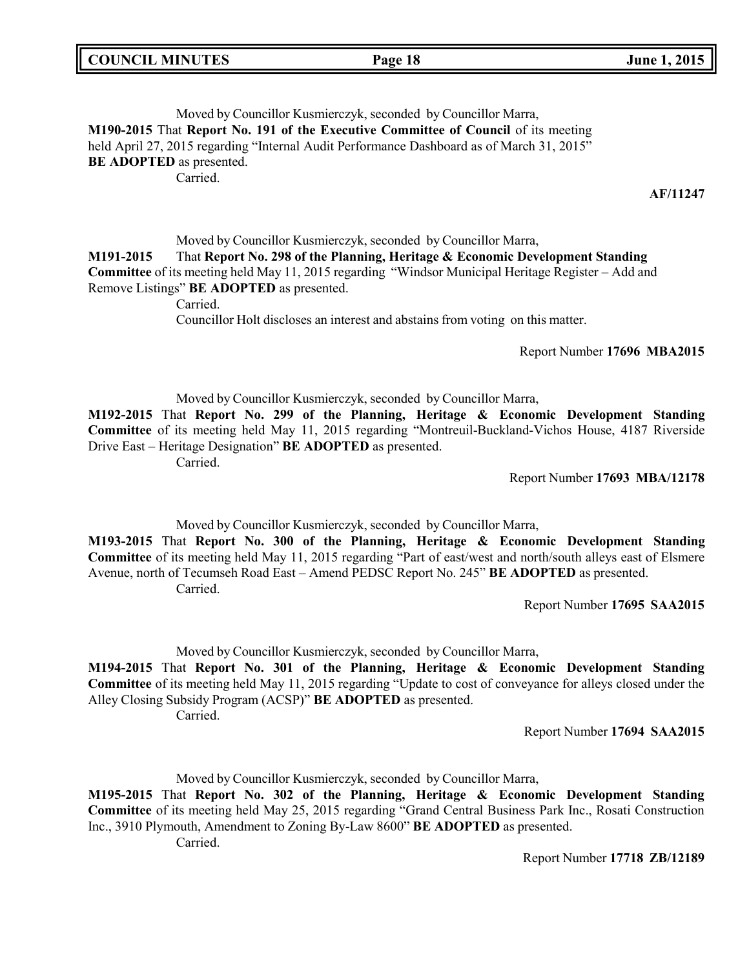| <b>COUNCIL MINUTES</b> |  |
|------------------------|--|
|------------------------|--|

### Moved by Councillor Kusmierczyk, seconded by Councillor Marra, **M190-2015** That **Report No. 191 of the Executive Committee of Council** of its meeting held April 27, 2015 regarding "Internal Audit Performance Dashboard as of March 31, 2015" **BE ADOPTED** as presented. Carried.

**AF/11247**

Moved by Councillor Kusmierczyk, seconded by Councillor Marra, **M191-2015** That **Report No. 298 of the Planning, Heritage & Economic Development Standing Committee** of its meeting held May 11, 2015 regarding "Windsor Municipal Heritage Register – Add and Remove Listings" **BE ADOPTED** as presented.

Carried.

Councillor Holt discloses an interest and abstains from voting on this matter.

Report Number **17696 MBA2015**

Moved by Councillor Kusmierczyk, seconded by Councillor Marra,

**M192-2015** That **Report No. 299 of the Planning, Heritage & Economic Development Standing Committee** of its meeting held May 11, 2015 regarding "Montreuil-Buckland-Vichos House, 4187 Riverside Drive East – Heritage Designation" **BE ADOPTED** as presented.

Carried.

Report Number **17693 MBA/12178**

Moved by Councillor Kusmierczyk, seconded by Councillor Marra,

**M193-2015** That **Report No. 300 of the Planning, Heritage & Economic Development Standing Committee** of its meeting held May 11, 2015 regarding "Part of east/west and north/south alleys east of Elsmere Avenue, north of Tecumseh Road East – Amend PEDSC Report No. 245" **BE ADOPTED** as presented. Carried.

Report Number **17695 SAA2015**

Moved by Councillor Kusmierczyk, seconded by Councillor Marra,

**M194-2015** That **Report No. 301 of the Planning, Heritage & Economic Development Standing Committee** of its meeting held May 11, 2015 regarding "Update to cost of conveyance for alleys closed under the Alley Closing Subsidy Program (ACSP)" **BE ADOPTED** as presented. Carried.

Report Number **17694 SAA2015**

Moved by Councillor Kusmierczyk, seconded by Councillor Marra,

**M195-2015** That **Report No. 302 of the Planning, Heritage & Economic Development Standing Committee** of its meeting held May 25, 2015 regarding "Grand Central Business Park Inc., Rosati Construction Inc., 3910 Plymouth, Amendment to Zoning By-Law 8600" **BE ADOPTED** as presented.

Carried.

Report Number **17718 ZB/12189**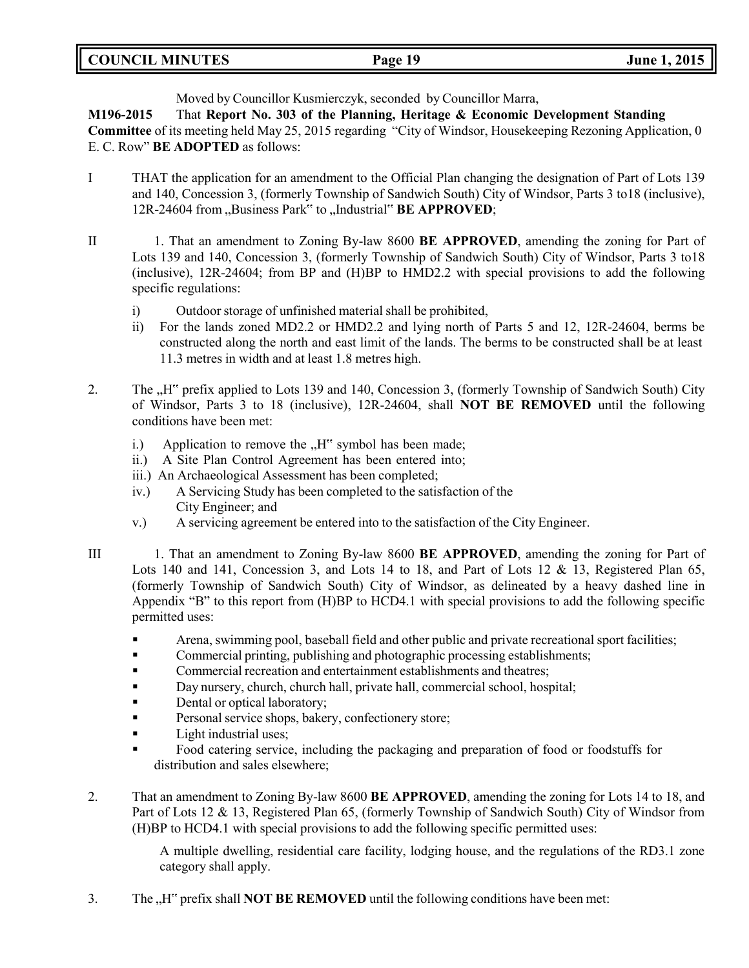**COUNCIL MINUTES Page 19 June 1, 2015**

Moved by Councillor Kusmierczyk, seconded by Councillor Marra,

**M196-2015** That **Report No. 303 of the Planning, Heritage & Economic Development Standing Committee** of its meeting held May 25, 2015 regarding "City of Windsor, Housekeeping Rezoning Application, 0 E. C. Row" **BE ADOPTED** as follows:

- I THAT the application for an amendment to the Official Plan changing the designation of Part of Lots 139 and 140, Concession 3, (formerly Township of Sandwich South) City of Windsor, Parts 3 to18 (inclusive), 12R-24604 from "Business Park" to "Industrial" **BE APPROVED**;
- II 1. That an amendment to Zoning By-law 8600 **BE APPROVED**, amending the zoning for Part of Lots 139 and 140, Concession 3, (formerly Township of Sandwich South) City of Windsor, Parts 3 to18 (inclusive), 12R-24604; from BP and (H)BP to HMD2.2 with special provisions to add the following specific regulations:
	- i) Outdoor storage of unfinished material shall be prohibited,
	- ii) For the lands zoned MD2.2 or HMD2.2 and lying north of Parts 5 and 12, 12R-24604, berms be constructed along the north and east limit of the lands. The berms to be constructed shall be at least 11.3 metres in width and at least 1.8 metres high.
- 2. The "H" prefix applied to Lots 139 and 140, Concession 3, (formerly Township of Sandwich South) City of Windsor, Parts 3 to 18 (inclusive), 12R-24604, shall **NOT BE REMOVED** until the following conditions have been met:
	- i.) Application to remove the  $H^{\prime\prime}$  symbol has been made;
	- ii.) A Site Plan Control Agreement has been entered into;
	- iii.) An Archaeological Assessment has been completed;
	- iv.) A Servicing Study has been completed to the satisfaction of the City Engineer; and
	- v.) A servicing agreement be entered into to the satisfaction of the City Engineer.
- III 1. That an amendment to Zoning By-law 8600 **BE APPROVED**, amending the zoning for Part of Lots 140 and 141, Concession 3, and Lots 14 to 18, and Part of Lots 12 & 13, Registered Plan 65, (formerly Township of Sandwich South) City of Windsor, as delineated by a heavy dashed line in Appendix "B" to this report from (H)BP to HCD4.1 with special provisions to add the following specific permitted uses:
	- Arena, swimming pool, baseball field and other public and private recreational sport facilities;
	- **•** Commercial printing, publishing and photographic processing establishments;
	- **Commercial recreation and entertainment establishments and theatres;**
	- Day nursery, church, church hall, private hall, commercial school, hospital;
	- **•** Dental or optical laboratory;
	- **•** Personal service shops, bakery, confectionery store;
	- **•** Light industrial uses;
	- Food catering service, including the packaging and preparation of food or foodstuffs for distribution and sales elsewhere;
- 2. That an amendment to Zoning By-law 8600 **BE APPROVED**, amending the zoning for Lots 14 to 18, and Part of Lots 12 & 13, Registered Plan 65, (formerly Township of Sandwich South) City of Windsor from (H)BP to HCD4.1 with special provisions to add the following specific permitted uses:

A multiple dwelling, residential care facility, lodging house, and the regulations of the RD3.1 zone category shall apply.

3. The <sub>"H</sub>" prefix shall **NOT BE REMOVED** until the following conditions have been met: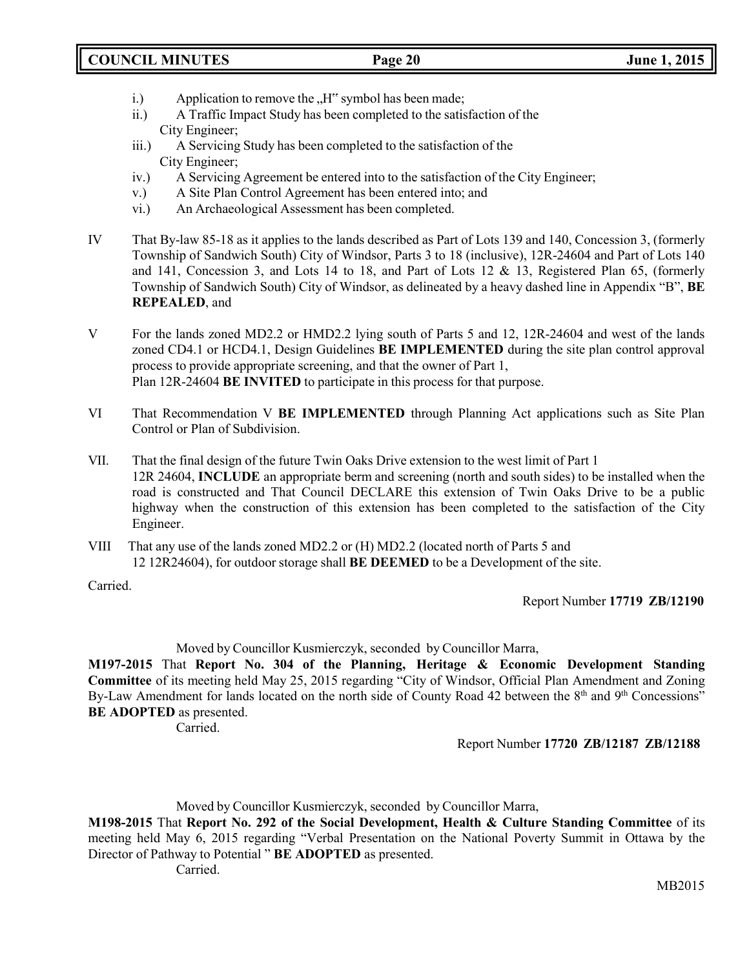- i.) Application to remove the  $H^{\prime\prime}$  symbol has been made;
- ii.) A Traffic Impact Study has been completed to the satisfaction of the City Engineer;
- iii.) A Servicing Study has been completed to the satisfaction of the City Engineer;
- iv.) A Servicing Agreement be entered into to the satisfaction of the City Engineer;
- v.) A Site Plan Control Agreement has been entered into; and
- vi.) An Archaeological Assessment has been completed.
- IV That By-law 85-18 as it applies to the lands described as Part of Lots 139 and 140, Concession 3, (formerly Township of Sandwich South) City of Windsor, Parts 3 to 18 (inclusive), 12R-24604 and Part of Lots 140 and 141, Concession 3, and Lots 14 to 18, and Part of Lots 12 & 13, Registered Plan 65, (formerly Township of Sandwich South) City of Windsor, as delineated by a heavy dashed line in Appendix "B", **BE REPEALED**, and
- V For the lands zoned MD2.2 or HMD2.2 lying south of Parts 5 and 12, 12R-24604 and west of the lands zoned CD4.1 or HCD4.1, Design Guidelines **BE IMPLEMENTED** during the site plan control approval process to provide appropriate screening, and that the owner of Part 1, Plan 12R-24604 **BE INVITED** to participate in this process for that purpose.
- VI That Recommendation V **BE IMPLEMENTED** through Planning Act applications such as Site Plan Control or Plan of Subdivision.
- VII. That the final design of the future Twin Oaks Drive extension to the west limit of Part 1 12R 24604, **INCLUDE** an appropriate berm and screening (north and south sides) to be installed when the road is constructed and That Council DECLARE this extension of Twin Oaks Drive to be a public highway when the construction of this extension has been completed to the satisfaction of the City Engineer.
- VIII That any use of the lands zoned MD2.2 or (H) MD2.2 (located north of Parts 5 and 12 12R24604), for outdoor storage shall **BE DEEMED** to be a Development of the site.

Carried.

Report Number **17719 ZB/12190**

Moved by Councillor Kusmierczyk, seconded by Councillor Marra,

**M197-2015** That **Report No. 304 of the Planning, Heritage & Economic Development Standing Committee** of its meeting held May 25, 2015 regarding "City of Windsor, Official Plan Amendment and Zoning By-Law Amendment for lands located on the north side of County Road 42 between the 8<sup>th</sup> and 9<sup>th</sup> Concessions" **BE ADOPTED** as presented.

Carried.

Report Number **17720 ZB/12187 ZB/12188**

Moved by Councillor Kusmierczyk, seconded by Councillor Marra,

**M198-2015** That **Report No. 292 of the Social Development, Health & Culture Standing Committee** of its meeting held May 6, 2015 regarding "Verbal Presentation on the National Poverty Summit in Ottawa by the Director of Pathway to Potential " **BE ADOPTED** as presented.

Carried.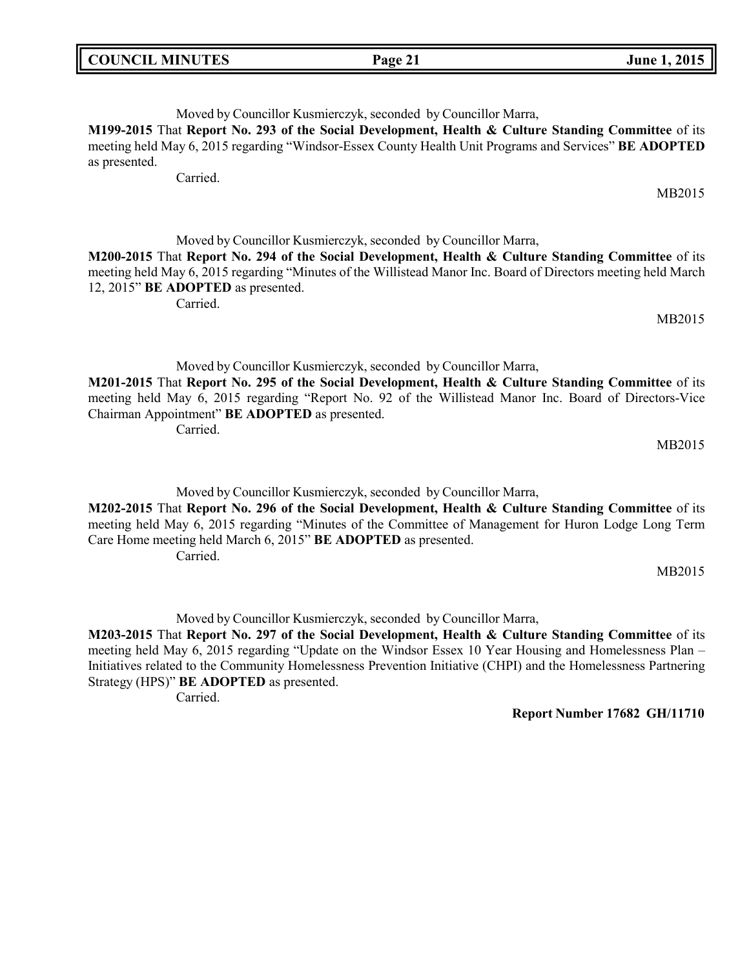| Moved by Councillor Kusmierczyk, seconded by Councillor Marra,                                                |
|---------------------------------------------------------------------------------------------------------------|
| M199-2015 That Report No. 293 of the Social Development, Health & Culture Standing Committee of its           |
| meeting held May 6, 2015 regarding "Windsor-Essex County Health Unit Programs and Services" <b>BE ADOPTED</b> |

as presented. Carried.

Moved by Councillor Kusmierczyk, seconded by Councillor Marra,

**M200-2015** That **Report No. 294 of the Social Development, Health & Culture Standing Committee** of its meeting held May 6, 2015 regarding "Minutes of the Willistead Manor Inc. Board of Directors meeting held March 12, 2015" **BE ADOPTED** as presented.

Carried.

MB2015

MB2015

Moved by Councillor Kusmierczyk, seconded by Councillor Marra,

**M201-2015** That **Report No. 295 of the Social Development, Health & Culture Standing Committee** of its meeting held May 6, 2015 regarding "Report No. 92 of the Willistead Manor Inc. Board of Directors-Vice Chairman Appointment" **BE ADOPTED** as presented. Carried.

Moved by Councillor Kusmierczyk, seconded by Councillor Marra, **M202-2015** That **Report No. 296 of the Social Development, Health & Culture Standing Committee** of its meeting held May 6, 2015 regarding "Minutes of the Committee of Management for Huron Lodge Long Term Care Home meeting held March 6, 2015" **BE ADOPTED** as presented. Carried.

MB2015

MB2015

Moved by Councillor Kusmierczyk, seconded by Councillor Marra,

**M203-2015** That **Report No. 297 of the Social Development, Health & Culture Standing Committee** of its meeting held May 6, 2015 regarding "Update on the Windsor Essex 10 Year Housing and Homelessness Plan – Initiatives related to the Community Homelessness Prevention Initiative (CHPI) and the Homelessness Partnering Strategy (HPS)" **BE ADOPTED** as presented.

Carried.

**Report Number 17682 GH/11710**

**COUNCIL MINUTES Page 21 June 1, 2015**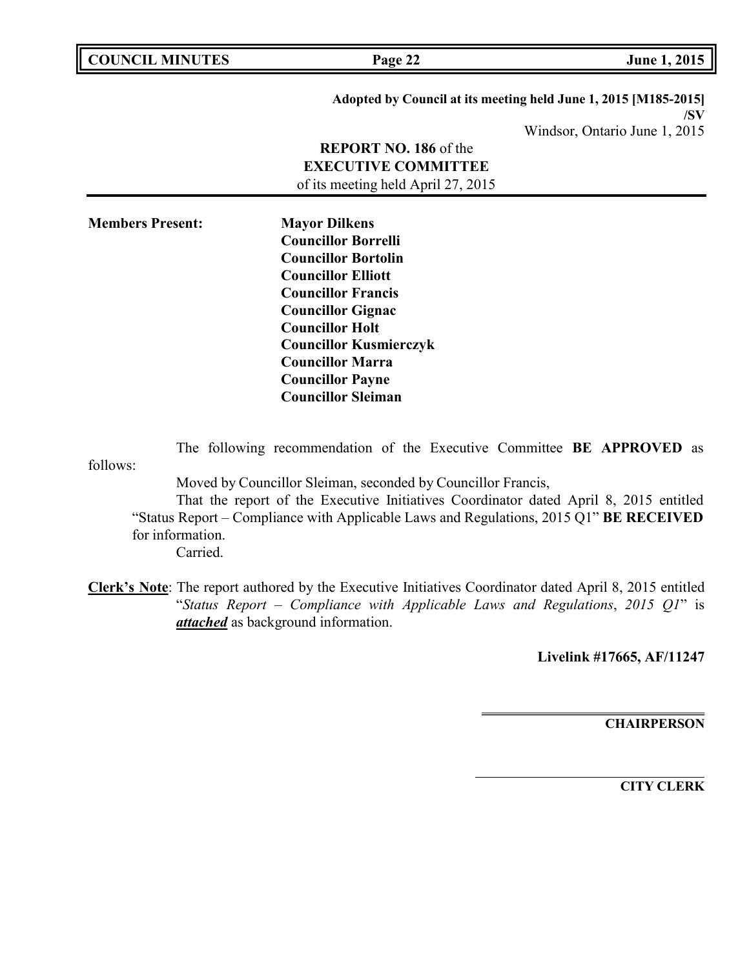| <b>COUNCIL MINUTES</b>                   | Page 22                                                                                                                                                                                                                                                                                                                   | June 1, 2015                                                                                            |
|------------------------------------------|---------------------------------------------------------------------------------------------------------------------------------------------------------------------------------------------------------------------------------------------------------------------------------------------------------------------------|---------------------------------------------------------------------------------------------------------|
|                                          | <b>REPORT NO. 186 of the</b><br><b>EXECUTIVE COMMITTEE</b><br>of its meeting held April 27, 2015                                                                                                                                                                                                                          | Adopted by Council at its meeting held June 1, 2015 [M185-2015]<br>/SV<br>Windsor, Ontario June 1, 2015 |
| <b>Members Present:</b>                  | <b>Mayor Dilkens</b><br><b>Councillor Borrelli</b><br><b>Councillor Bortolin</b><br><b>Councillor Elliott</b><br><b>Councillor Francis</b><br><b>Councillor Gignac</b><br><b>Councillor Holt</b><br><b>Councillor Kusmierczyk</b><br><b>Councillor Marra</b><br><b>Councillor Payne</b><br><b>Councillor Sleiman</b>      |                                                                                                         |
| follows:<br>for information.<br>Carried. | The following recommendation of the Executive Committee BE APPROVED as<br>Moved by Councillor Sleiman, seconded by Councillor Francis,<br>That the report of the Executive Initiatives Coordinator dated April 8, 2015 entitled<br>"Status Report - Compliance with Applicable Laws and Regulations, 2015 Q1" BE RECEIVED |                                                                                                         |
|                                          | Clerk's Note: The report authored by the Executive Initiatives Coordinator dated April 8, 2015 entitled<br>"Status Report - Compliance with Applicable Laws and Regulations, 2015 $QI$ " is<br>attached as background information.                                                                                        |                                                                                                         |

**Livelink #17665, AF/11247**

**CHAIRPERSON**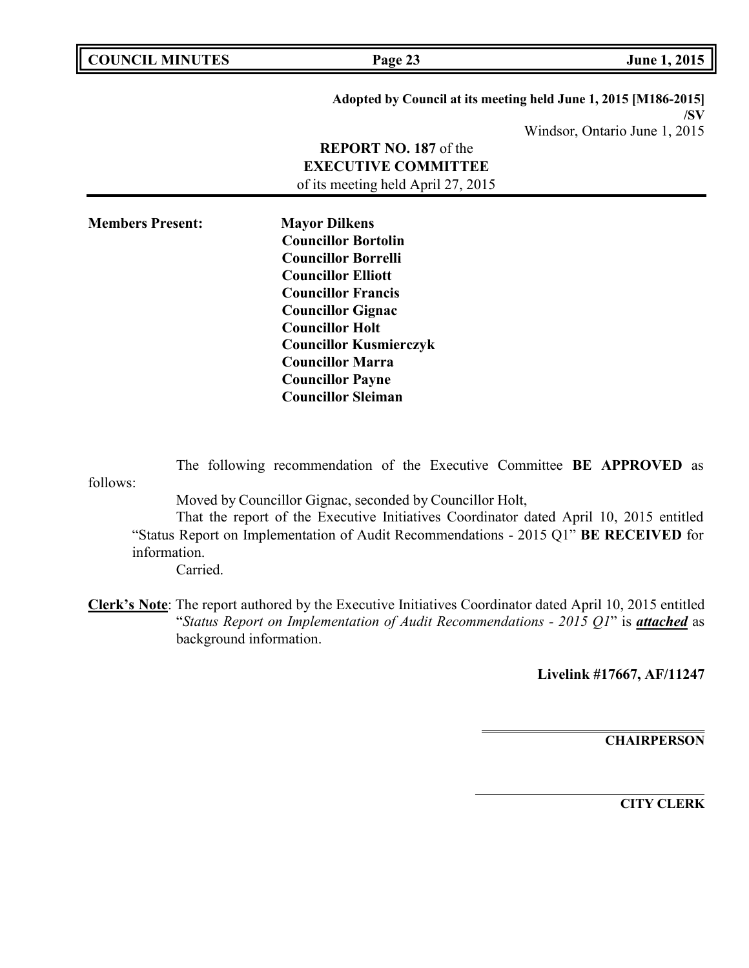| <b>COUNCIL MINUTES</b>  | Page 23                                                                                                                                                                                                                                                                                                              | <b>June 1, 2015</b>                                                    |
|-------------------------|----------------------------------------------------------------------------------------------------------------------------------------------------------------------------------------------------------------------------------------------------------------------------------------------------------------------|------------------------------------------------------------------------|
|                         |                                                                                                                                                                                                                                                                                                                      | Adopted by Council at its meeting held June 1, 2015 [M186-2015]<br>/SV |
|                         |                                                                                                                                                                                                                                                                                                                      | Windsor, Ontario June 1, 2015                                          |
|                         | <b>REPORT NO. 187</b> of the<br><b>EXECUTIVE COMMITTEE</b><br>of its meeting held April 27, 2015                                                                                                                                                                                                                     |                                                                        |
| <b>Members Present:</b> | <b>Mayor Dilkens</b><br><b>Councillor Bortolin</b><br><b>Councillor Borrelli</b><br><b>Councillor Elliott</b><br><b>Councillor Francis</b><br><b>Councillor Gignac</b><br><b>Councillor Holt</b><br><b>Councillor Kusmierczyk</b><br><b>Councillor Marra</b><br><b>Councillor Payne</b><br><b>Councillor Sleiman</b> |                                                                        |

follows: The following recommendation of the Executive Committee **BE APPROVED** as

Moved by Councillor Gignac, seconded by Councillor Holt,

That the report of the Executive Initiatives Coordinator dated April 10, 2015 entitled "Status Report on Implementation of Audit Recommendations - 2015 Q1" **BE RECEIVED** for information.

Carried.

**Clerk's Note**: The report authored by the Executive Initiatives Coordinator dated April 10, 2015 entitled "*Status Report on Implementation of Audit Recommendations - 2015 Q1*" is *attached* as background information.

**Livelink #17667, AF/11247**

**CHAIRPERSON**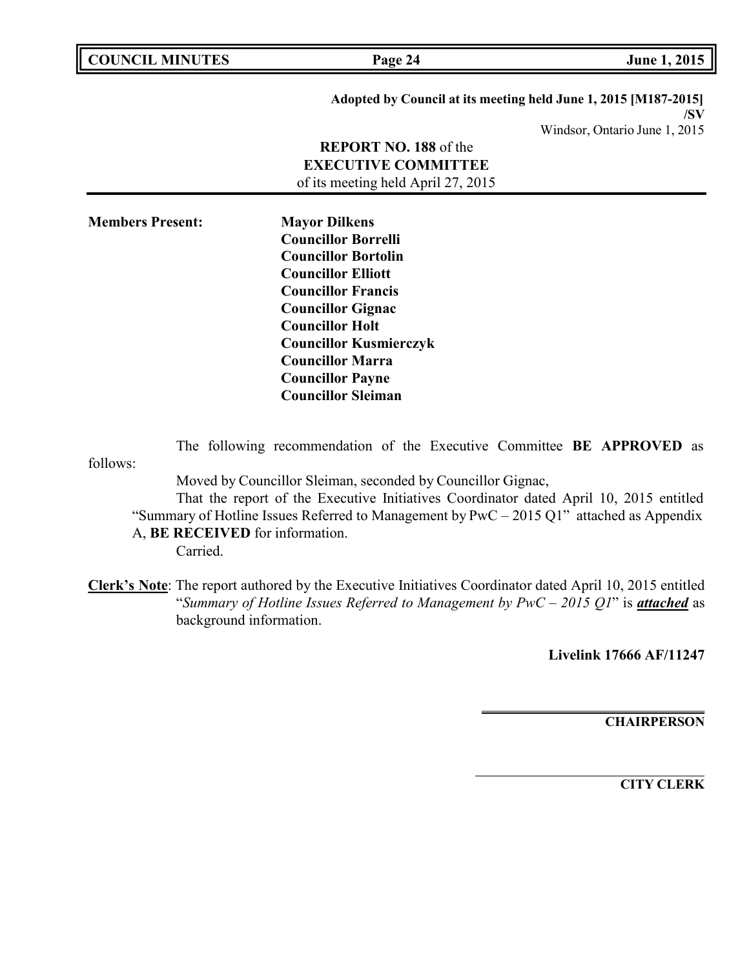| <b>COUNCIL MINUTES</b>          | Page 24                                                                                                                                                                                               | June 1, 2015                                                           |
|---------------------------------|-------------------------------------------------------------------------------------------------------------------------------------------------------------------------------------------------------|------------------------------------------------------------------------|
|                                 |                                                                                                                                                                                                       | Adopted by Council at its meeting held June 1, 2015 [M187-2015]<br>/SV |
|                                 |                                                                                                                                                                                                       | Windsor, Ontario June 1, 2015                                          |
|                                 | <b>REPORT NO. 188</b> of the                                                                                                                                                                          |                                                                        |
|                                 | <b>EXECUTIVE COMMITTEE</b>                                                                                                                                                                            |                                                                        |
|                                 | of its meeting held April 27, 2015                                                                                                                                                                    |                                                                        |
| <b>Members Present:</b>         |                                                                                                                                                                                                       |                                                                        |
|                                 | <b>Mayor Dilkens</b><br><b>Councillor Borrelli</b>                                                                                                                                                    |                                                                        |
|                                 | <b>Councillor Bortolin</b>                                                                                                                                                                            |                                                                        |
|                                 | <b>Councillor Elliott</b>                                                                                                                                                                             |                                                                        |
|                                 | <b>Councillor Francis</b>                                                                                                                                                                             |                                                                        |
|                                 | <b>Councillor Gignac</b>                                                                                                                                                                              |                                                                        |
|                                 | <b>Councillor Holt</b>                                                                                                                                                                                |                                                                        |
|                                 | <b>Councillor Kusmierczyk</b>                                                                                                                                                                         |                                                                        |
|                                 | <b>Councillor Marra</b>                                                                                                                                                                               |                                                                        |
|                                 | <b>Councillor Payne</b>                                                                                                                                                                               |                                                                        |
|                                 | <b>Councillor Sleiman</b>                                                                                                                                                                             |                                                                        |
|                                 |                                                                                                                                                                                                       |                                                                        |
| follows:                        | The following recommendation of the Executive Committee BE APPROVED as                                                                                                                                |                                                                        |
|                                 | Moved by Councillor Sleiman, seconded by Councillor Gignac,                                                                                                                                           |                                                                        |
|                                 | That the report of the Executive Initiatives Coordinator dated April 10, 2015 entitled                                                                                                                |                                                                        |
|                                 | "Summary of Hotline Issues Referred to Management by $PWC - 2015 \text{ Q1}$ " attached as Appendix                                                                                                   |                                                                        |
| A, BE RECEIVED for information. |                                                                                                                                                                                                       |                                                                        |
| Carried.                        |                                                                                                                                                                                                       |                                                                        |
| background information.         | Clerk's Note: The report authored by the Executive Initiatives Coordinator dated April 10, 2015 entitled<br>"Summary of Hotline Issues Referred to Management by PwC - 2015 Q1" is <i>attached</i> as |                                                                        |

**Livelink 17666 AF/11247**

**CHAIRPERSON**

 $\overline{\mathsf{I}}$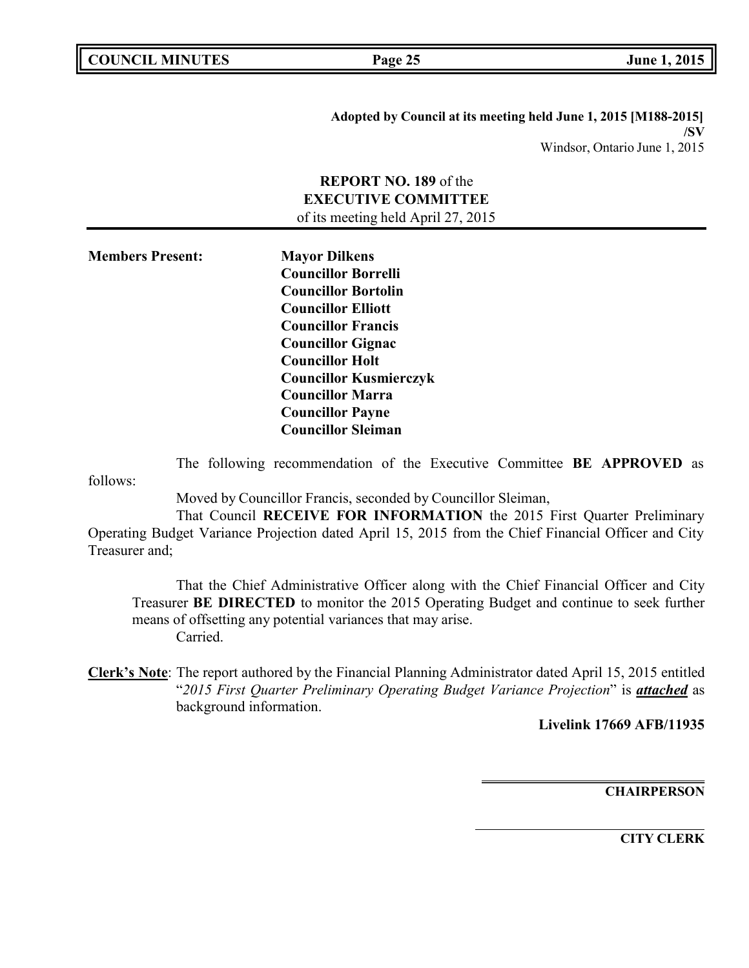**COUNCIL EXECUTE: COUNCIL EXECUTE: Page 25 June 1, 2015** 

**Adopted by Council at its meeting held June 1, 2015 [M188-2015] /SV** Windsor, Ontario June 1, 2015

# **REPORT NO. 189** of the **EXECUTIVE COMMITTEE**

of its meeting held April 27, 2015

**Members Present: Mayor Dilkens Councillor Borrelli Councillor Bortolin Councillor Elliott Councillor Francis Councillor Gignac Councillor Holt Councillor Kusmierczyk Councillor Marra Councillor Payne Councillor Sleiman**

The following recommendation of the Executive Committee **BE APPROVED** as

follows:

Moved by Councillor Francis, seconded by Councillor Sleiman,

That Council **RECEIVE FOR INFORMATION** the 2015 First Quarter Preliminary Operating Budget Variance Projection dated April 15, 2015 from the Chief Financial Officer and City Treasurer and;

That the Chief Administrative Officer along with the Chief Financial Officer and City Treasurer **BE DIRECTED** to monitor the 2015 Operating Budget and continue to seek further means of offsetting any potential variances that may arise. Carried.

**Clerk's Note**: The report authored by the Financial Planning Administrator dated April 15, 2015 entitled "*2015 First Quarter Preliminary Operating Budget Variance Projection*" is *attached* as background information.

**Livelink 17669 AFB/11935**

**CHAIRPERSON**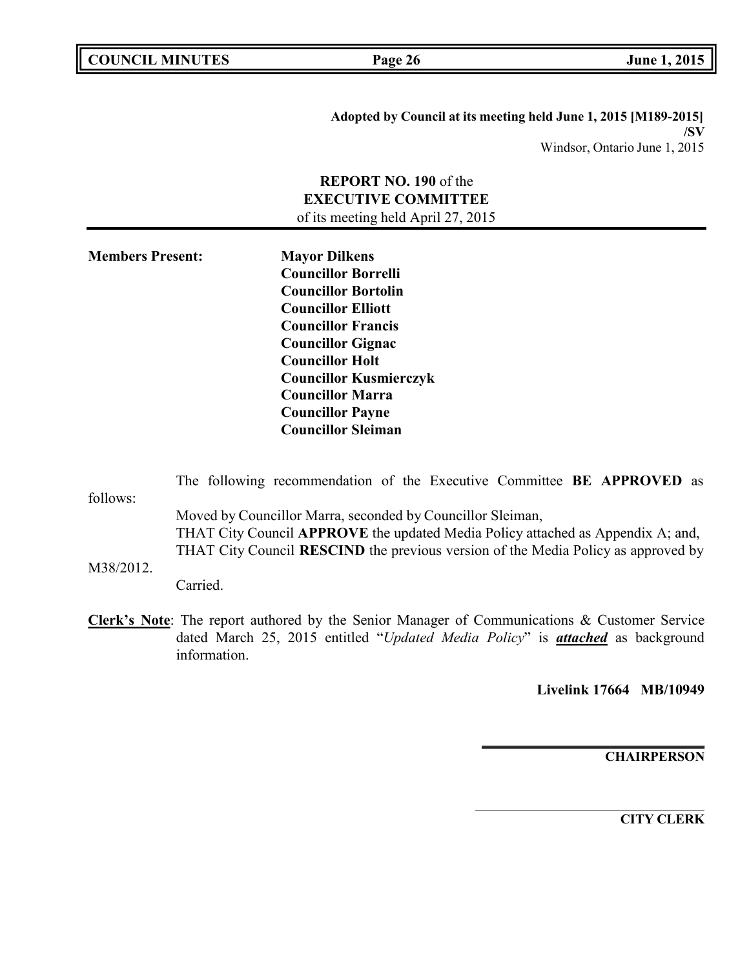**COUNCIL EXECUTE: COUNCIL EXECUTE: COUNCIL EXECUTE: COUNCIL EXECUTE: COUNCIL EXECUTE: COUNCIL EXECUTE: COUNCIL EXECUTE: COUNCIL** 

**Adopted by Council at its meeting held June 1, 2015 [M189-2015] /SV** Windsor, Ontario June 1, 2015

# **REPORT NO. 190** of the **EXECUTIVE COMMITTEE** of its meeting held April 27, 2015

**Members Present: Mayor Dilkens Councillor Borrelli Councillor Bortolin Councillor Elliott Councillor Francis Councillor Gignac Councillor Holt Councillor Kusmierczyk Councillor Marra Councillor Payne Councillor Sleiman**

|           | The following recommendation of the Executive Committee BE APPROVED as                                                                                                                                                                                                                                                                                                                             |
|-----------|----------------------------------------------------------------------------------------------------------------------------------------------------------------------------------------------------------------------------------------------------------------------------------------------------------------------------------------------------------------------------------------------------|
| follows:  |                                                                                                                                                                                                                                                                                                                                                                                                    |
|           | Moved by Councillor Marra, seconded by Councillor Sleiman,<br>THAT City Council APPROVE the updated Media Policy attached as Appendix A; and,<br>THAT City Council RESCIND the previous version of the Media Policy as approved by                                                                                                                                                                 |
| M38/2012. |                                                                                                                                                                                                                                                                                                                                                                                                    |
|           | Carried.                                                                                                                                                                                                                                                                                                                                                                                           |
| $\sim$    | $\mathbf{1} \bullet \mathbf{1} \bullet \mathbf{1}$ and $\mathbf{1} \bullet \mathbf{1}$ and $\mathbf{1} \bullet \mathbf{1}$ and $\mathbf{1} \bullet \mathbf{1}$ and $\mathbf{1} \bullet \mathbf{1}$ and $\mathbf{1} \bullet \mathbf{1}$ and $\mathbf{1} \bullet \mathbf{1}$ and $\mathbf{1} \bullet \mathbf{1}$ and $\mathbf{1} \bullet \mathbf{1}$ and $\mathbf{1} \bullet \mathbf{1}$ and $\math$ |

**Clerk's Note**: The report authored by the Senior Manager of Communications & Customer Service dated March 25, 2015 entitled "*Updated Media Policy*" is *attached* as background information.

**Livelink 17664 MB/10949**

**CHAIRPERSON**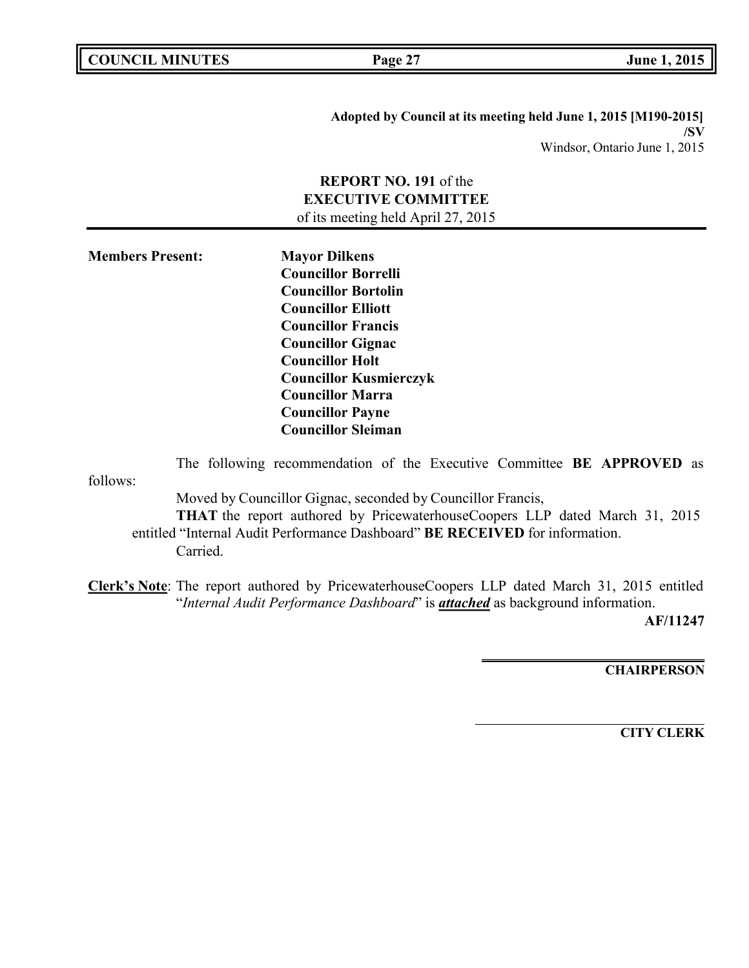**Adopted by Council at its meeting held June 1, 2015 [M190-2015] /SV** Windsor, Ontario June 1, 2015

# **REPORT NO. 191** of the **EXECUTIVE COMMITTEE**

of its meeting held April 27, 2015

**Members Present: Mayor Dilkens Councillor Borrelli Councillor Bortolin Councillor Elliott Councillor Francis Councillor Gignac Councillor Holt Councillor Kusmierczyk Councillor Marra Councillor Payne Councillor Sleiman**

follows: The following recommendation of the Executive Committee **BE APPROVED** as Moved by Councillor Gignac, seconded by Councillor Francis, **THAT** the report authored by PricewaterhouseCoopers LLP dated March 31, 2015 entitled "Internal Audit Performance Dashboard" **BE RECEIVED** for information. Carried.

**Clerk's Note**: The report authored by PricewaterhouseCoopers LLP dated March 31, 2015 entitled "*Internal Audit Performance Dashboard*" is *attached* as background information.

**AF/11247**

**CHAIRPERSON**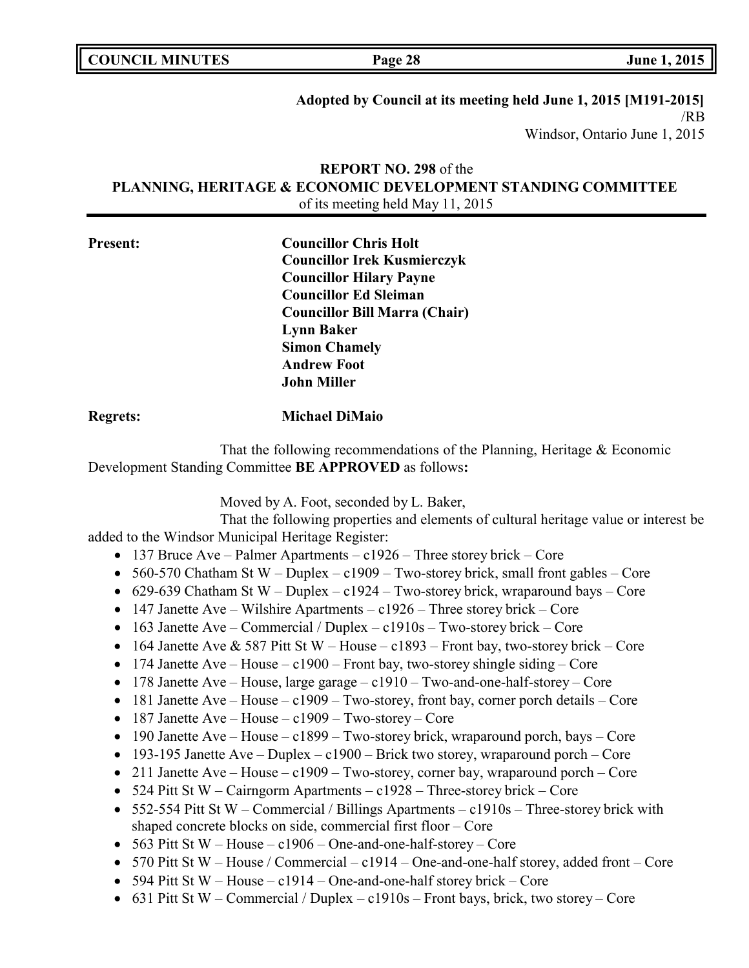**COUNCIL EXECUTE: COUNCIL EXECUTE: Page 28 June 1, 2015** 

# **Adopted by Council at its meeting held June 1, 2015 [M191-2015]**

/RB Windsor, Ontario June 1, 2015

# **REPORT NO. 298** of the **PLANNING, HERITAGE & ECONOMIC DEVELOPMENT STANDING COMMITTEE** of its meeting held May 11, 2015

| <b>Present:</b> | <b>Councillor Chris Holt</b>         |
|-----------------|--------------------------------------|
|                 | <b>Councillor Irek Kusmierczyk</b>   |
|                 | <b>Councillor Hilary Payne</b>       |
|                 | <b>Councillor Ed Sleiman</b>         |
|                 | <b>Councillor Bill Marra (Chair)</b> |
|                 | <b>Lynn Baker</b>                    |
|                 | <b>Simon Chamely</b>                 |
|                 | <b>Andrew Foot</b>                   |
|                 | <b>John Miller</b>                   |
|                 |                                      |

### **Regrets: Michael DiMaio**

That the following recommendations of the Planning, Heritage & Economic Development Standing Committee **BE APPROVED** as follows**:**

Moved by A. Foot, seconded by L. Baker,

That the following properties and elements of cultural heritage value or interest be added to the Windsor Municipal Heritage Register:

- 137 Bruce Ave Palmer Apartments c1926 Three storey brick Core
- 560-570 Chatham St W Duplex c1909 Two-storey brick, small front gables Core
- 629-639 Chatham St W Duplex c1924 Two-storey brick, wraparound bays Core
- 147 Janette Ave Wilshire Apartments  $c1926$  Three storey brick Core
- 163 Janette Ave Commercial / Duplex c1910s Two-storey brick Core
- 164 Janette Ave & 587 Pitt St W House c1893 Front bay, two-storey brick Core
- 174 Janette Ave House c1900 Front bay, two-storey shingle siding Core
- 178 Janette Ave House, large garage c1910 Two-and-one-half-storey Core
- 181 Janette Ave House c1909 Two-storey, front bay, corner porch details Core
- 187 Janette Ave House c1909 Two-storey Core
- 190 Janette Ave House c1899 Two-storey brick, wraparound porch, bays Core
- 193-195 Janette Ave Duplex c1900 Brick two storey, wraparound porch Core
- 211 Janette Ave House c1909 Two-storey, corner bay, wraparound porch Core
- 524 Pitt St W Cairngorm Apartments  $c1928$  Three-storey brick Core
- 552-554 Pitt St W Commercial / Billings Apartments c1910s Three-storey brick with shaped concrete blocks on side, commercial first floor – Core
- 563 Pitt St W House  $c1906$  One-and-one-half-storey Core
- 570 Pitt St W House / Commercial c1914 One-and-one-half storey, added front Core
- 594 Pitt St W House c1914 One-and-one-half storey brick Core
- 631 Pitt St W Commercial / Duplex c1910s Front bays, brick, two storey Core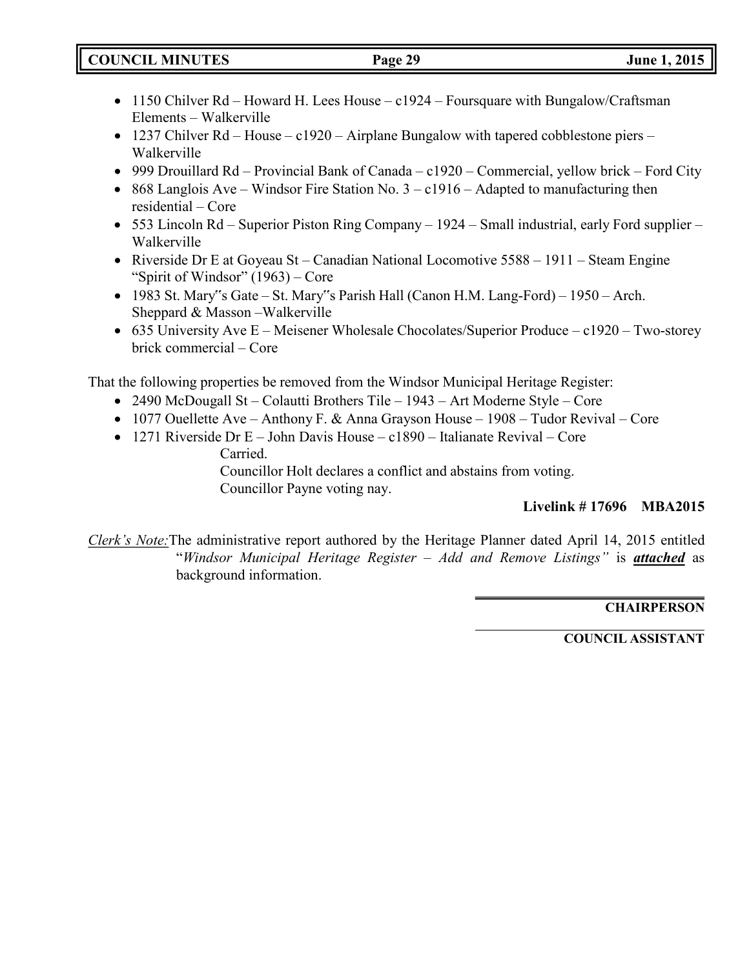- 1150 Chilver Rd Howard H. Lees House c1924 Foursquare with Bungalow/Craftsman Elements – Walkerville
- 1237 Chilver Rd House c1920 Airplane Bungalow with tapered cobblestone piers Walkerville
- 999 Drouillard Rd Provincial Bank of Canada c1920 Commercial, yellow brick Ford City
- 868 Langlois Ave Windsor Fire Station No.  $3 c1916$  Adapted to manufacturing then residential – Core
- 553 Lincoln Rd Superior Piston Ring Company 1924 Small industrial, early Ford supplier Walkerville
- Riverside Dr E at Goyeau St Canadian National Locomotive 5588 1911 Steam Engine "Spirit of Windsor" (1963) – Core
- 1983 St. Mary"s Gate St. Mary"s Parish Hall (Canon H.M. Lang-Ford) 1950 Arch. Sheppard & Masson –Walkerville
- 635 University Ave E Meisener Wholesale Chocolates/Superior Produce c1920 Two-storey brick commercial – Core

That the following properties be removed from the Windsor Municipal Heritage Register:

- 2490 McDougall St Colautti Brothers Tile 1943 Art Moderne Style Core
- 1077 Ouellette Ave Anthony F. & Anna Grayson House 1908 Tudor Revival Core
- 1271 Riverside Dr E John Davis House c1890 Italianate Revival Core Carried.

Councillor Holt declares a conflict and abstains from voting. Councillor Payne voting nay.

# **Livelink # 17696 MBA2015**

*Clerk's Note:*The administrative report authored by the Heritage Planner dated April 14, 2015 entitled "*Windsor Municipal Heritage Register – Add and Remove Listings"* is *attached* as background information.

# **CHAIRPERSON**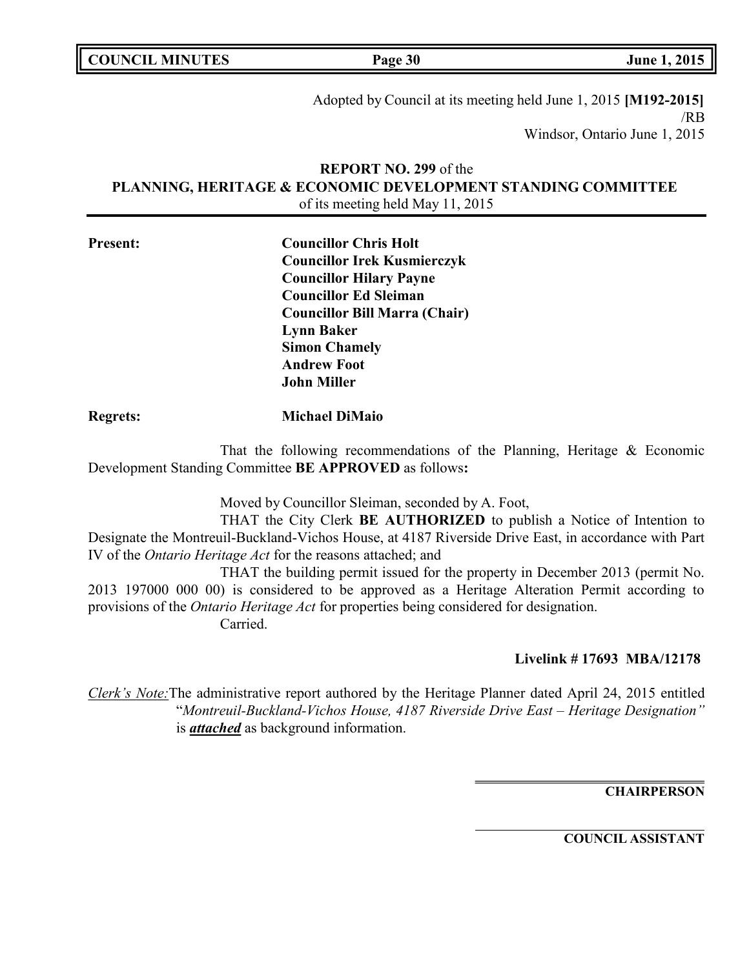| <b>COUNCIL MINUTES</b> | Page 30 | June 1, 2015 |
|------------------------|---------|--------------|

Adopted by Council at its meeting held June 1, 2015 **[M192-2015]** /RB Windsor, Ontario June 1, 2015

# **REPORT NO. 299** of the **PLANNING, HERITAGE & ECONOMIC DEVELOPMENT STANDING COMMITTEE** of its meeting held May 11, 2015

| <b>Present:</b> | <b>Councillor Chris Holt</b>         |
|-----------------|--------------------------------------|
|                 | <b>Councillor Irek Kusmierczyk</b>   |
|                 | <b>Councillor Hilary Payne</b>       |
|                 | <b>Councillor Ed Sleiman</b>         |
|                 | <b>Councillor Bill Marra (Chair)</b> |
|                 | <b>Lynn Baker</b>                    |
|                 | <b>Simon Chamely</b>                 |
|                 | <b>Andrew Foot</b>                   |
|                 | <b>John Miller</b>                   |
|                 |                                      |

# **Regrets: Michael DiMaio**

That the following recommendations of the Planning, Heritage & Economic Development Standing Committee **BE APPROVED** as follows**:**

Moved by Councillor Sleiman, seconded by A. Foot,

THAT the City Clerk **BE AUTHORIZED** to publish a Notice of Intention to Designate the Montreuil-Buckland-Vichos House, at 4187 Riverside Drive East, in accordance with Part IV of the *Ontario Heritage Act* for the reasons attached; and

THAT the building permit issued for the property in December 2013 (permit No. 2013 197000 000 00) is considered to be approved as a Heritage Alteration Permit according to provisions of the *Ontario Heritage Act* for properties being considered for designation. Carried.

# **Livelink # 17693 MBA/12178**

*Clerk's Note:*The administrative report authored by the Heritage Planner dated April 24, 2015 entitled "*Montreuil-Buckland-Vichos House, 4187 Riverside Drive East – Heritage Designation"* is *attached* as background information.

**CHAIRPERSON**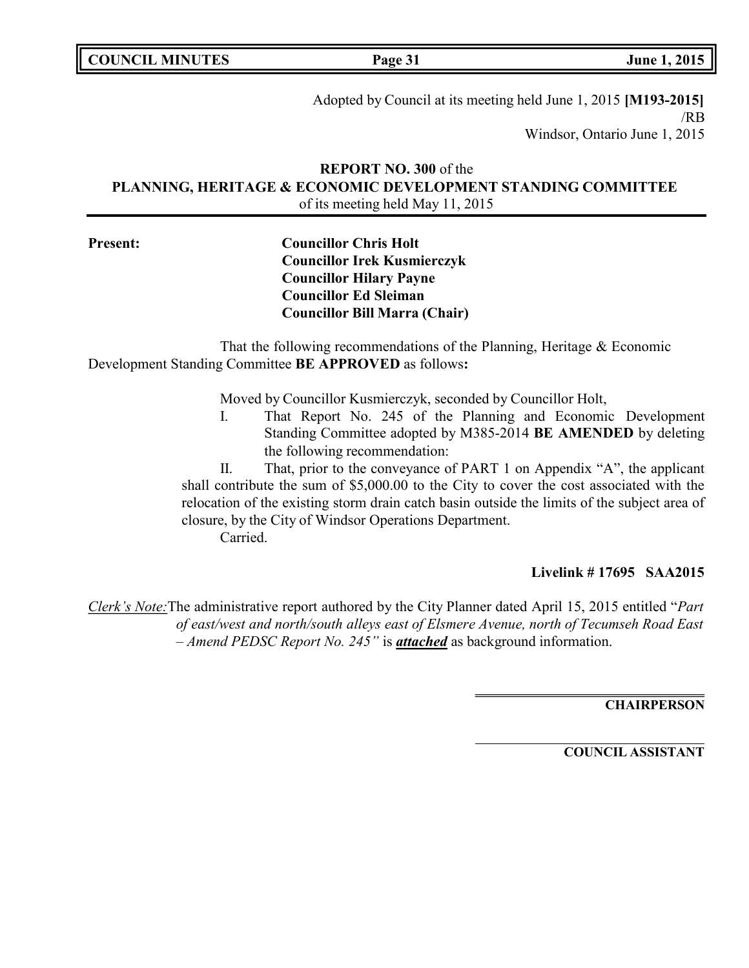**COUNCIL MINUTES Page 31 June 1, 2015**

Adopted by Council at its meeting held June 1, 2015 **[M193-2015]** /RB Windsor, Ontario June 1, 2015

# **REPORT NO. 300** of the **PLANNING, HERITAGE & ECONOMIC DEVELOPMENT STANDING COMMITTEE** of its meeting held May 11, 2015

**Present: Councillor Chris Holt Councillor Irek Kusmierczyk Councillor Hilary Payne Councillor Ed Sleiman Councillor Bill Marra (Chair)**

That the following recommendations of the Planning, Heritage & Economic Development Standing Committee **BE APPROVED** as follows**:**

Moved by Councillor Kusmierczyk, seconded by Councillor Holt,

I. That Report No. 245 of the Planning and Economic Development Standing Committee adopted by M385-2014 **BE AMENDED** by deleting the following recommendation:

II. That, prior to the conveyance of PART 1 on Appendix "A", the applicant shall contribute the sum of \$5,000.00 to the City to cover the cost associated with the relocation of the existing storm drain catch basin outside the limits of the subject area of closure, by the City of Windsor Operations Department.

Carried.

**Livelink # 17695 SAA2015**

*Clerk's Note:*The administrative report authored by the City Planner dated April 15, 2015 entitled "*Part of east/west and north/south alleys east of Elsmere Avenue, north of Tecumseh Road East – Amend PEDSC Report No. 245"* is *attached* as background information.

**CHAIRPERSON**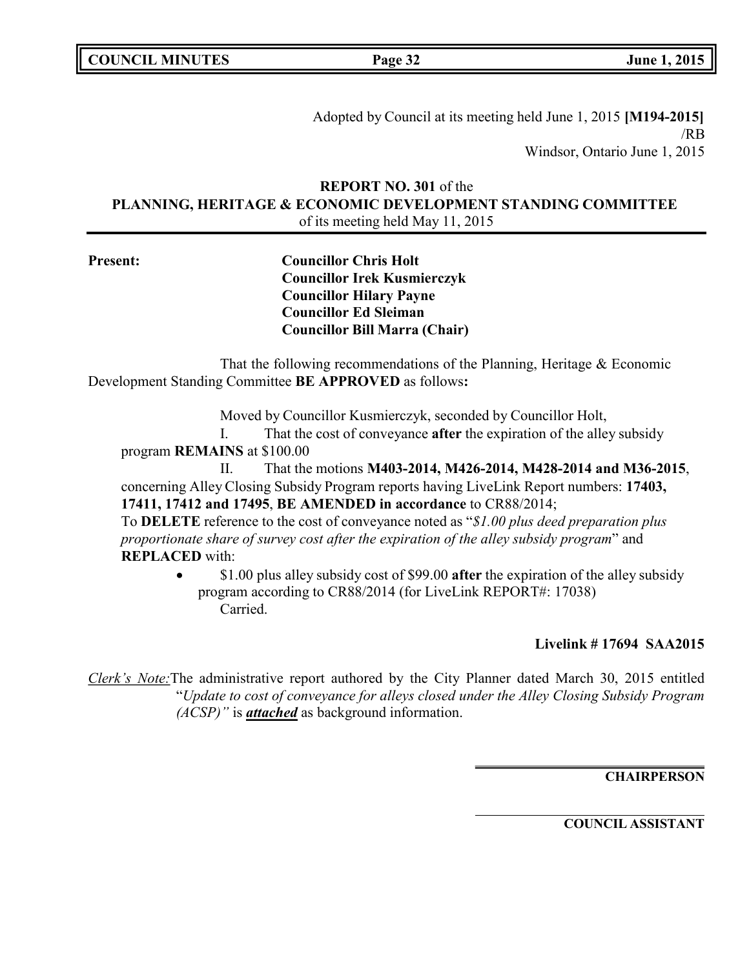**COUNCIL MINUTES Page 32 June 1, 2015**

Adopted by Council at its meeting held June 1, 2015 **[M194-2015]** /RB Windsor, Ontario June 1, 2015

# **REPORT NO. 301** of the **PLANNING, HERITAGE & ECONOMIC DEVELOPMENT STANDING COMMITTEE** of its meeting held May 11, 2015

**Present: Councillor Chris Holt Councillor Irek Kusmierczyk Councillor Hilary Payne Councillor Ed Sleiman Councillor Bill Marra (Chair)**

That the following recommendations of the Planning, Heritage & Economic Development Standing Committee **BE APPROVED** as follows**:**

Moved by Councillor Kusmierczyk, seconded by Councillor Holt,

I. That the cost of conveyance **after** the expiration of the alley subsidy program **REMAINS** at \$100.00

II. That the motions **M403-2014, M426-2014, M428-2014 and M36-2015**, concerning Alley Closing Subsidy Program reports having LiveLink Report numbers: **17403, 17411, 17412 and 17495**, **BE AMENDED in accordance** to CR88/2014;

To **DELETE** reference to the cost of conveyance noted as "*\$1.00 plus deed preparation plus proportionate share of survey cost after the expiration of the alley subsidy program*" and **REPLACED** with:

> • \$1.00 plus alley subsidy cost of \$99.00 **after** the expiration of the alley subsidy program according to CR88/2014 (for LiveLink REPORT#: 17038) Carried.

# **Livelink # 17694 SAA2015**

*Clerk's Note:*The administrative report authored by the City Planner dated March 30, 2015 entitled "*Update to cost of conveyance for alleys closed under the Alley Closing Subsidy Program (ACSP)"* is *attached* as background information.

**CHAIRPERSON**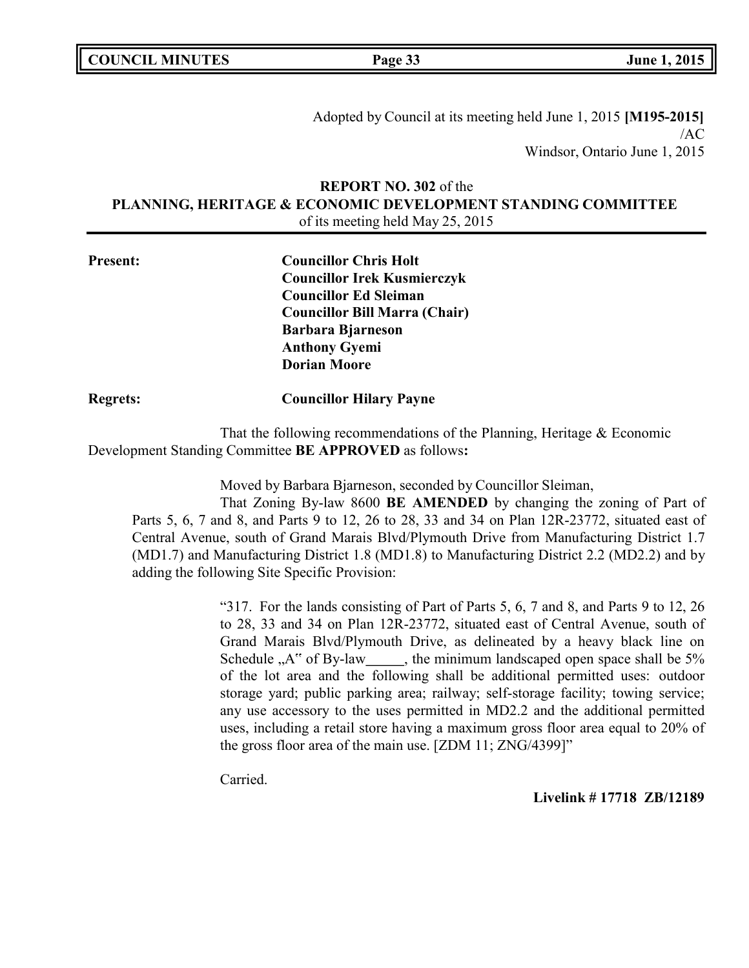**COUNCIL MINUTES Page 33 June 1, 2015**

Adopted by Council at its meeting held June 1, 2015 **[M195-2015]** /AC Windsor, Ontario June 1, 2015

# **REPORT NO. 302** of the **PLANNING, HERITAGE & ECONOMIC DEVELOPMENT STANDING COMMITTEE** of its meeting held May 25, 2015

| <b>Present:</b> | <b>Councillor Chris Holt</b>         |
|-----------------|--------------------------------------|
|                 | <b>Councillor Irek Kusmierczyk</b>   |
|                 | <b>Councillor Ed Sleiman</b>         |
|                 | <b>Councillor Bill Marra (Chair)</b> |
|                 | <b>Barbara Bjarneson</b>             |
|                 | <b>Anthony Gyemi</b>                 |
|                 | <b>Dorian Moore</b>                  |
|                 |                                      |

**Regrets: Councillor Hilary Payne**

That the following recommendations of the Planning, Heritage & Economic Development Standing Committee **BE APPROVED** as follows**:**

Moved by Barbara Bjarneson, seconded by Councillor Sleiman,

That Zoning By-law 8600 **BE AMENDED** by changing the zoning of Part of Parts 5, 6, 7 and 8, and Parts 9 to 12, 26 to 28, 33 and 34 on Plan 12R-23772, situated east of Central Avenue, south of Grand Marais Blvd/Plymouth Drive from Manufacturing District 1.7 (MD1.7) and Manufacturing District 1.8 (MD1.8) to Manufacturing District 2.2 (MD2.2) and by adding the following Site Specific Provision:

> "317. For the lands consisting of Part of Parts 5, 6, 7 and 8, and Parts 9 to 12, 26 to 28, 33 and 34 on Plan 12R-23772, situated east of Central Avenue, south of Grand Marais Blvd/Plymouth Drive, as delineated by a heavy black line on Schedule  $, A''$  of By-law , the minimum landscaped open space shall be  $5\%$ of the lot area and the following shall be additional permitted uses: outdoor storage yard; public parking area; railway; self-storage facility; towing service; any use accessory to the uses permitted in MD2.2 and the additional permitted uses, including a retail store having a maximum gross floor area equal to 20% of the gross floor area of the main use. [ZDM 11; ZNG/4399]"

Carried.

**Livelink # 17718 ZB/12189**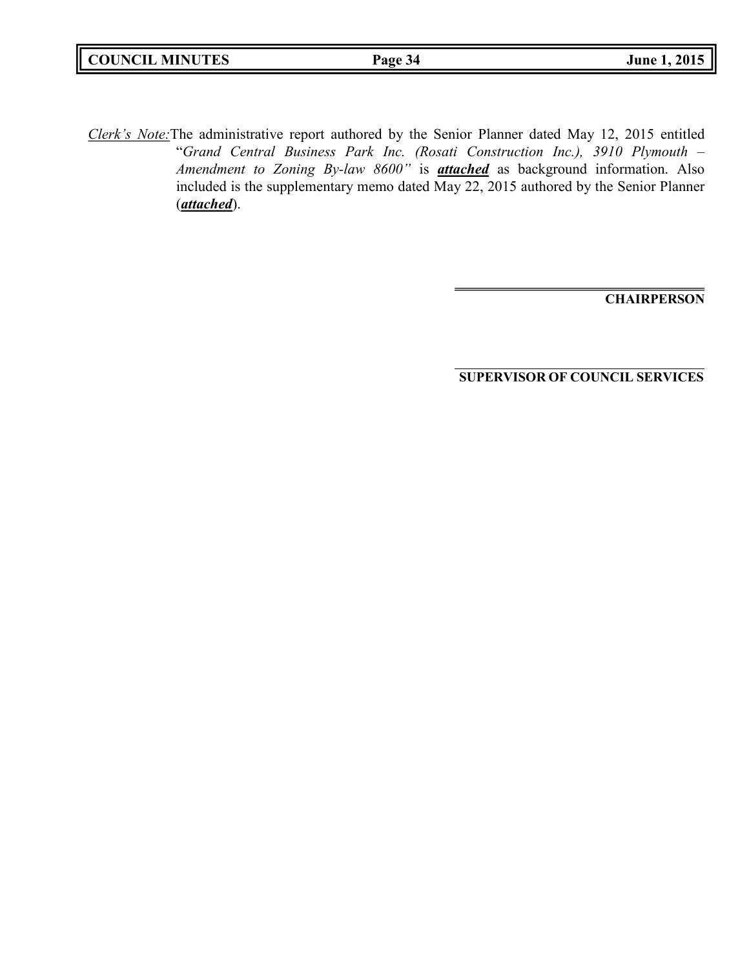| <b>COUNCIL MINUTES</b> | Page 34 | <b>June 1, 2015</b> |
|------------------------|---------|---------------------|
|                        |         |                     |

*Clerk's Note:*The administrative report authored by the Senior Planner dated May 12, 2015 entitled "*Grand Central Business Park Inc. (Rosati Construction Inc.), 3910 Plymouth – Amendment to Zoning By-law 8600"* is *attached* as background information. Also included is the supplementary memo dated May 22, 2015 authored by the Senior Planner (*attached*).

**CHAIRPERSON**

**SUPERVISOR OF COUNCIL SERVICES**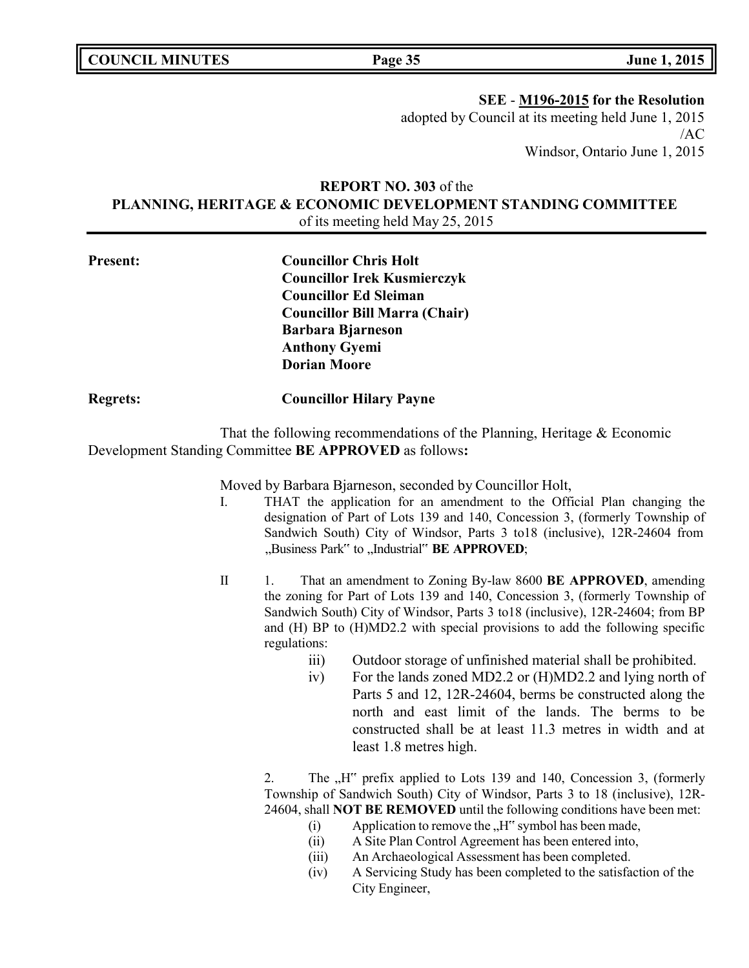**COUNCIL MINUTES Page 35 June 1, 2015**

**SEE** - **M196-2015 for the Resolution**

adopted by Council at its meeting held June 1, 2015 /AC Windsor, Ontario June 1, 2015

# **REPORT NO. 303** of the **PLANNING, HERITAGE & ECONOMIC DEVELOPMENT STANDING COMMITTEE** of its meeting held May 25, 2015

| <b>Present:</b> | <b>Councillor Chris Holt</b>         |
|-----------------|--------------------------------------|
|                 | <b>Councillor Irek Kusmierczyk</b>   |
|                 | <b>Councillor Ed Sleiman</b>         |
|                 | <b>Councillor Bill Marra (Chair)</b> |
|                 | <b>Barbara Bjarneson</b>             |
|                 | <b>Anthony Gyemi</b>                 |
|                 | <b>Dorian Moore</b>                  |
|                 |                                      |

#### **Regrets: Councillor Hilary Payne**

That the following recommendations of the Planning, Heritage & Economic Development Standing Committee **BE APPROVED** as follows**:**

Moved by Barbara Bjarneson, seconded by Councillor Holt,

- I. THAT the application for an amendment to the Official Plan changing the designation of Part of Lots 139 and 140, Concession 3, (formerly Township of Sandwich South) City of Windsor, Parts 3 to18 (inclusive), 12R-24604 from "Business Park" to "Industrial" **BE APPROVED**;
- II 1. That an amendment to Zoning By-law 8600 **BE APPROVED**, amending the zoning for Part of Lots 139 and 140, Concession 3, (formerly Township of Sandwich South) City of Windsor, Parts 3 to18 (inclusive), 12R-24604; from BP and (H) BP to (H)MD2.2 with special provisions to add the following specific regulations:
	- iii) Outdoor storage of unfinished material shall be prohibited.
	- iv) For the lands zoned MD2.2 or (H)MD2.2 and lying north of Parts 5 and 12, 12R-24604, berms be constructed along the north and east limit of the lands. The berms to be constructed shall be at least 11.3 metres in width and at least 1.8 metres high.

2. The "H" prefix applied to Lots 139 and 140, Concession 3, (formerly Township of Sandwich South) City of Windsor, Parts 3 to 18 (inclusive), 12R-24604, shall **NOT BE REMOVED** until the following conditions have been met:

- (i) Application to remove the  $H^{\prime\prime}$  symbol has been made,
- (ii) A Site Plan Control Agreement has been entered into,
- (iii) An Archaeological Assessment has been completed.
- (iv) A Servicing Study has been completed to the satisfaction of the City Engineer,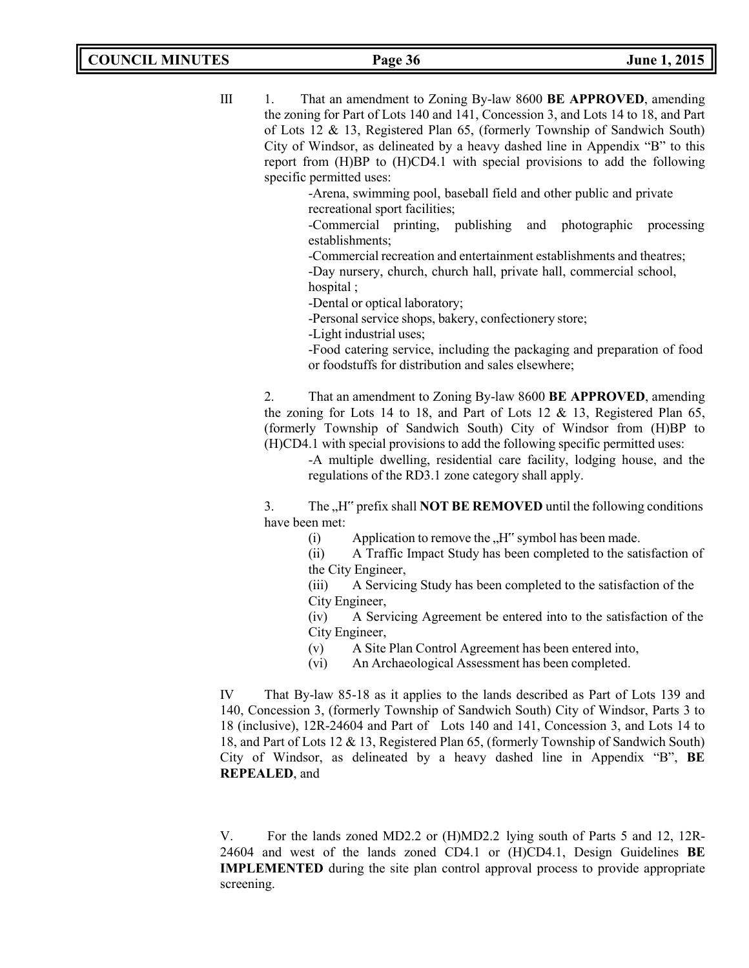III 1. That an amendment to Zoning By-law 8600 **BE APPROVED**, amending the zoning for Part of Lots 140 and 141, Concession 3, and Lots 14 to 18, and Part of Lots 12 & 13, Registered Plan 65, (formerly Township of Sandwich South) City of Windsor, as delineated by a heavy dashed line in Appendix "B" to this report from (H)BP to (H)CD4.1 with special provisions to add the following specific permitted uses:

> -Arena, swimming pool, baseball field and other public and private recreational sport facilities;

-Commercial printing, publishing and photographic processing establishments;

-Commercial recreation and entertainment establishments and theatres; -Day nursery, church, church hall, private hall, commercial school, hospital ;

-Dental or optical laboratory;

-Personal service shops, bakery, confectionery store;

-Light industrial uses;

-Food catering service, including the packaging and preparation of food or foodstuffs for distribution and sales elsewhere;

2. That an amendment to Zoning By-law 8600 **BE APPROVED**, amending the zoning for Lots 14 to 18, and Part of Lots 12  $\&$  13, Registered Plan 65, (formerly Township of Sandwich South) City of Windsor from (H)BP to (H)CD4.1 with special provisions to add the following specific permitted uses:

-A multiple dwelling, residential care facility, lodging house, and the regulations of the RD3.1 zone category shall apply.

3. The "H<sup>\*\*</sup> prefix shall **NOT BE REMOVED** until the following conditions have been met:

(i) Application to remove the  $H^{\prime\prime}$  symbol has been made.

(ii) A Traffic Impact Study has been completed to the satisfaction of the City Engineer,

(iii) A Servicing Study has been completed to the satisfaction of the City Engineer,

(iv) A Servicing Agreement be entered into to the satisfaction of the City Engineer,

- (v) A Site Plan Control Agreement has been entered into,
- (vi) An Archaeological Assessment has been completed.

IV That By-law 85-18 as it applies to the lands described as Part of Lots 139 and 140, Concession 3, (formerly Township of Sandwich South) City of Windsor, Parts 3 to 18 (inclusive), 12R-24604 and Part of Lots 140 and 141, Concession 3, and Lots 14 to 18, and Part of Lots 12 & 13, Registered Plan 65, (formerly Township of Sandwich South) City of Windsor, as delineated by a heavy dashed line in Appendix "B", **BE REPEALED**, and

V. For the lands zoned MD2.2 or (H)MD2.2 lying south of Parts 5 and 12, 12R-24604 and west of the lands zoned CD4.1 or (H)CD4.1, Design Guidelines **BE IMPLEMENTED** during the site plan control approval process to provide appropriate screening.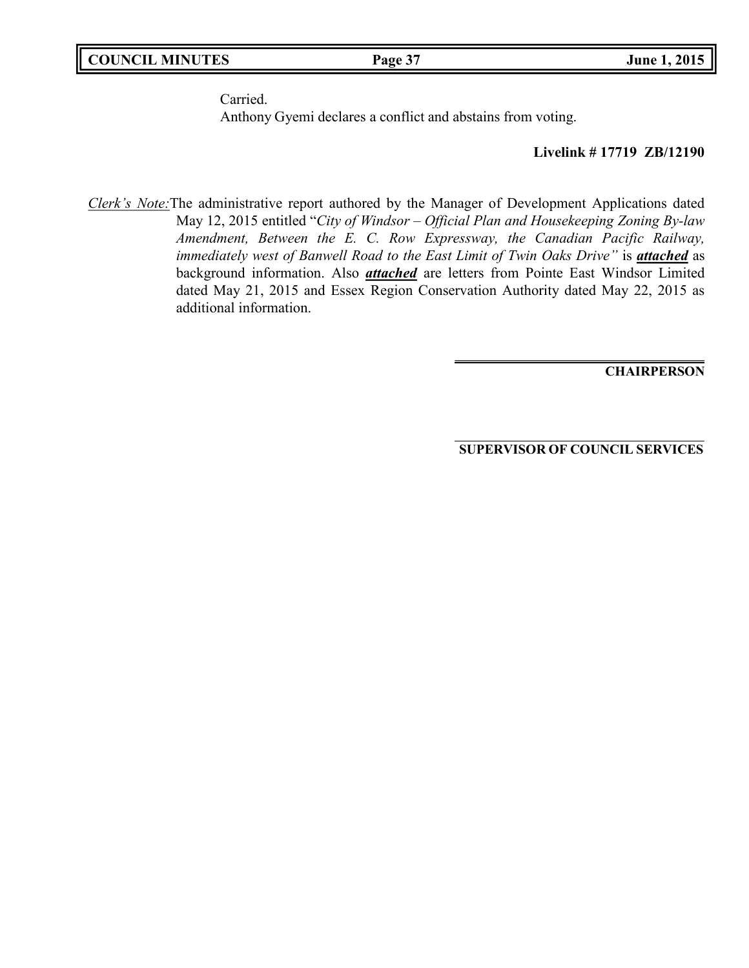Carried.

Anthony Gyemi declares a conflict and abstains from voting.

#### **Livelink # 17719 ZB/12190**

*Clerk's Note:*The administrative report authored by the Manager of Development Applications dated May 12, 2015 entitled "*City of Windsor – Official Plan and Housekeeping Zoning By-law Amendment, Between the E. C. Row Expressway, the Canadian Pacific Railway, immediately west of Banwell Road to the East Limit of Twin Oaks Drive"* is *attached* as background information. Also *attached* are letters from Pointe East Windsor Limited dated May 21, 2015 and Essex Region Conservation Authority dated May 22, 2015 as additional information.

**CHAIRPERSON**

**SUPERVISOR OF COUNCIL SERVICES**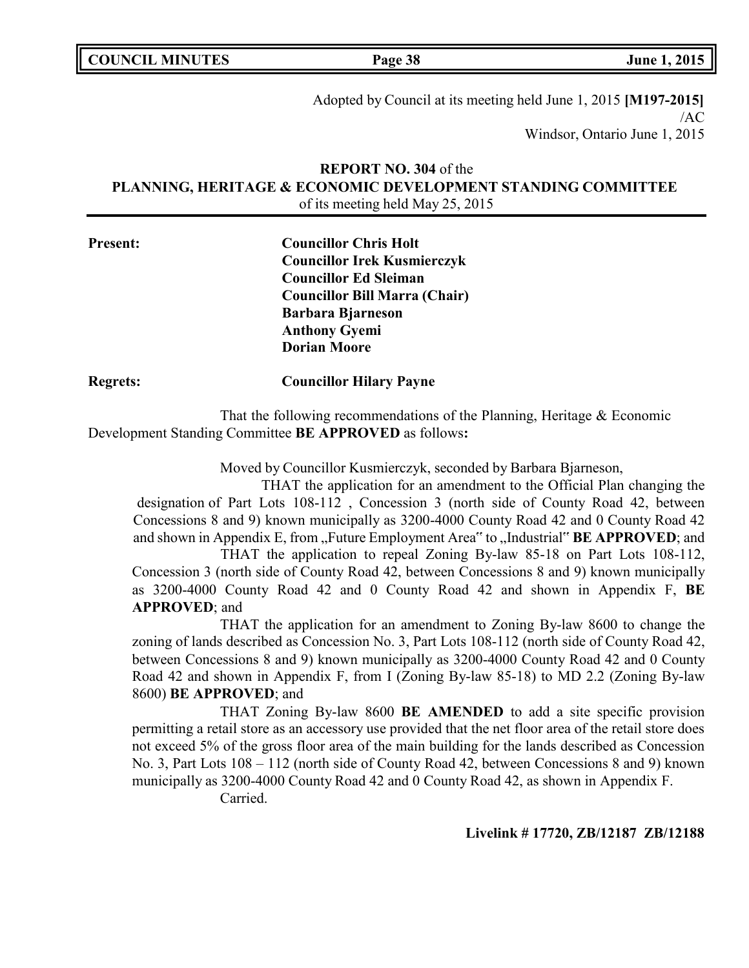|  | <b>COUNCIL MINUTES</b> |
|--|------------------------|
|--|------------------------|

**COUNCIL EXECUTE: COUNCIL EXECUTE: Page 38 June 1, 2015** 

Adopted by Council at its meeting held June 1, 2015 **[M197-2015]** /AC Windsor, Ontario June 1, 2015

# **REPORT NO. 304** of the **PLANNING, HERITAGE & ECONOMIC DEVELOPMENT STANDING COMMITTEE** of its meeting held May 25, 2015

| <b>Present:</b> | <b>Councillor Chris Holt</b>         |
|-----------------|--------------------------------------|
|                 | <b>Councillor Irek Kusmierczyk</b>   |
|                 | <b>Councillor Ed Sleiman</b>         |
|                 | <b>Councillor Bill Marra (Chair)</b> |
|                 | <b>Barbara Bjarneson</b>             |
|                 | <b>Anthony Gyemi</b>                 |
|                 | <b>Dorian Moore</b>                  |
|                 |                                      |

**Regrets: Councillor Hilary Payne**

That the following recommendations of the Planning, Heritage & Economic Development Standing Committee **BE APPROVED** as follows**:**

Moved by Councillor Kusmierczyk, seconded by Barbara Bjarneson,

THAT the application for an amendment to the Official Plan changing the designation of Part Lots 108-112 , Concession 3 (north side of County Road 42, between Concessions 8 and 9) known municipally as 3200-4000 County Road 42 and 0 County Road 42 and shown in Appendix E, from "Future Employment Area" to "Industrial" **BE APPROVED**; and

THAT the application to repeal Zoning By-law 85-18 on Part Lots 108-112, Concession 3 (north side of County Road 42, between Concessions 8 and 9) known municipally as 3200-4000 County Road 42 and 0 County Road 42 and shown in Appendix F, **BE APPROVED**; and

THAT the application for an amendment to Zoning By-law 8600 to change the zoning of lands described as Concession No. 3, Part Lots 108-112 (north side of County Road 42, between Concessions 8 and 9) known municipally as 3200-4000 County Road 42 and 0 County Road 42 and shown in Appendix F, from I (Zoning By-law 85-18) to MD 2.2 (Zoning By-law 8600) **BE APPROVED**; and

THAT Zoning By-law 8600 **BE AMENDED** to add a site specific provision permitting a retail store as an accessory use provided that the net floor area of the retail store does not exceed 5% of the gross floor area of the main building for the lands described as Concession No. 3, Part Lots 108 – 112 (north side of County Road 42, between Concessions 8 and 9) known municipally as 3200-4000 County Road 42 and 0 County Road 42, as shown in Appendix F.

Carried.

**Livelink # 17720, ZB/12187 ZB/12188**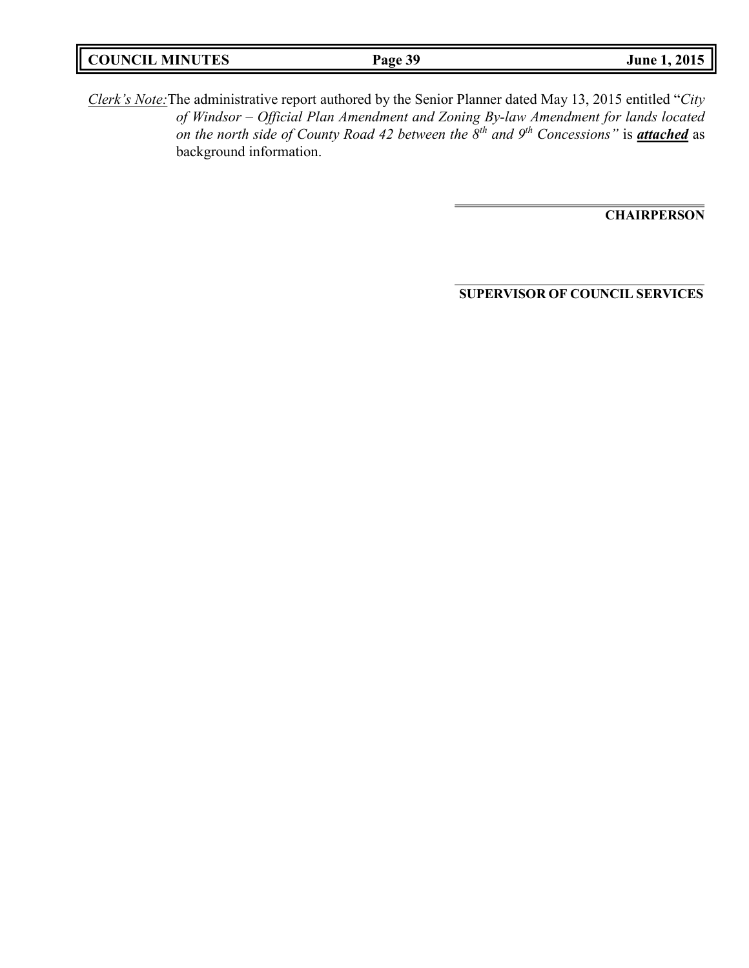*Clerk's Note:*The administrative report authored by the Senior Planner dated May 13, 2015 entitled "*City of Windsor – Official Plan Amendment and Zoning By-law Amendment for lands located on the north side of County Road 42 between the 8th and 9th Concessions"* is *attached* as background information.

**CHAIRPERSON**

**SUPERVISOR OF COUNCIL SERVICES**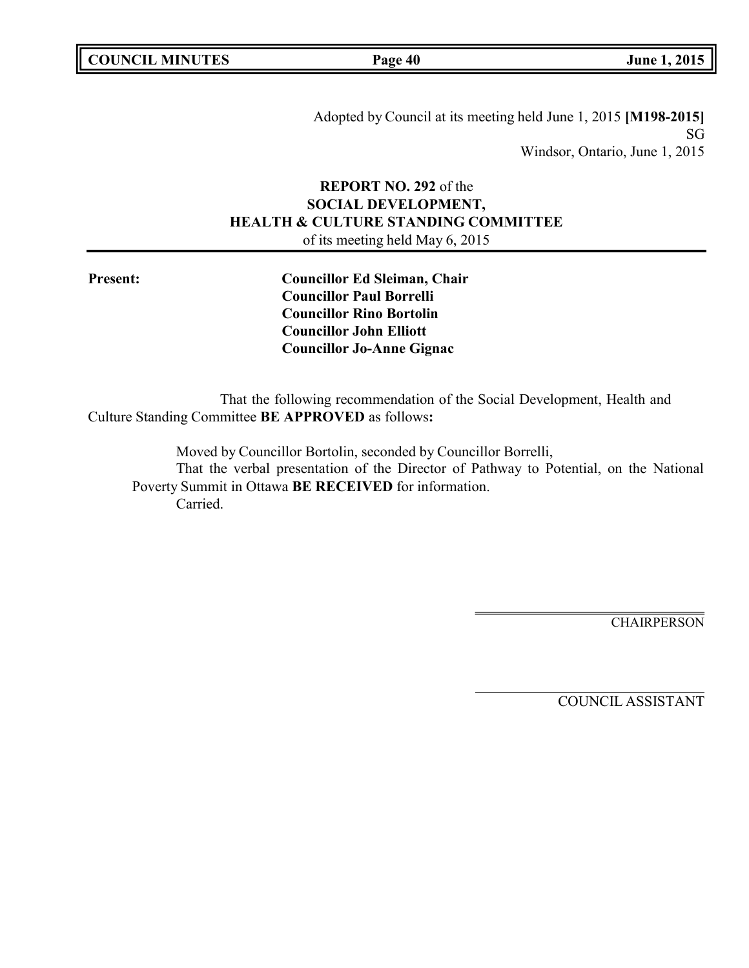Adopted by Council at its meeting held June 1, 2015 **[M198-2015]** SG Windsor, Ontario, June 1, 2015

# **REPORT NO. 292** of the **SOCIAL DEVELOPMENT, HEALTH & CULTURE STANDING COMMITTEE** of its meeting held May 6, 2015

**Present: Councillor Ed Sleiman, Chair Councillor Paul Borrelli Councillor Rino Bortolin Councillor John Elliott Councillor Jo-Anne Gignac**

That the following recommendation of the Social Development, Health and Culture Standing Committee **BE APPROVED** as follows**:**

Moved by Councillor Bortolin, seconded by Councillor Borrelli, That the verbal presentation of the Director of Pathway to Potential, on the National Poverty Summit in Ottawa **BE RECEIVED** for information. Carried.

**CHAIRPERSON**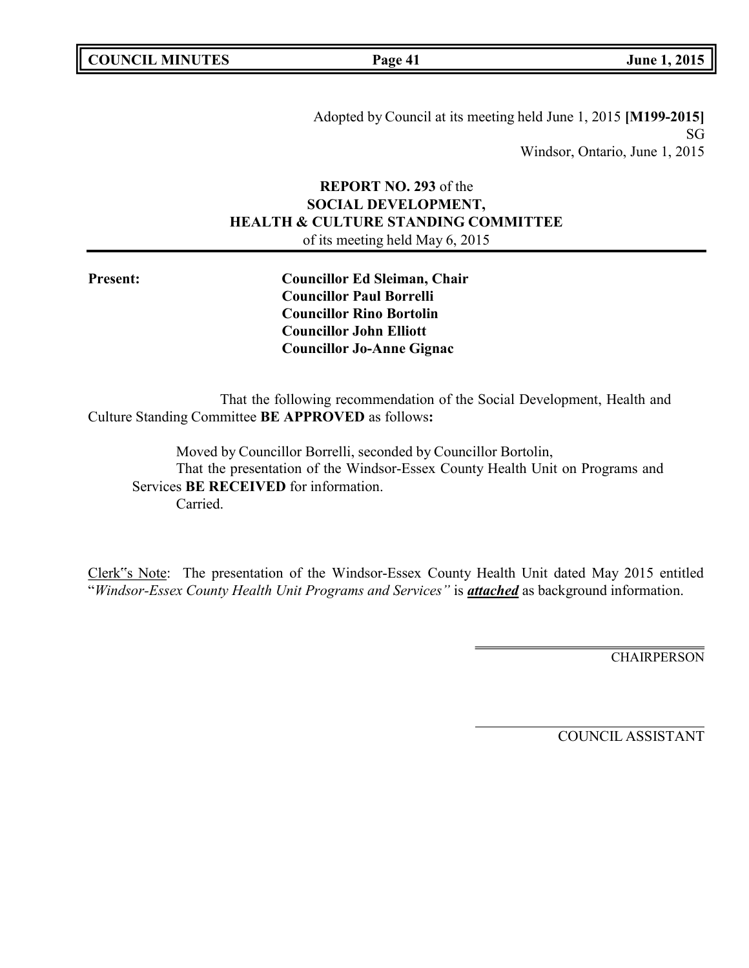Adopted by Council at its meeting held June 1, 2015 **[M199-2015]** SG Windsor, Ontario, June 1, 2015

# **REPORT NO. 293** of the **SOCIAL DEVELOPMENT, HEALTH & CULTURE STANDING COMMITTEE** of its meeting held May 6, 2015

**Present: Councillor Ed Sleiman, Chair Councillor Paul Borrelli Councillor Rino Bortolin Councillor John Elliott Councillor Jo-Anne Gignac**

That the following recommendation of the Social Development, Health and Culture Standing Committee **BE APPROVED** as follows**:**

Moved by Councillor Borrelli, seconded by Councillor Bortolin, That the presentation of the Windsor-Essex County Health Unit on Programs and Services **BE RECEIVED** for information. Carried.

Clerk"s Note: The presentation of the Windsor-Essex County Health Unit dated May 2015 entitled "*Windsor-Essex County Health Unit Programs and Services"* is *attached* as background information.

CHAIRPERSON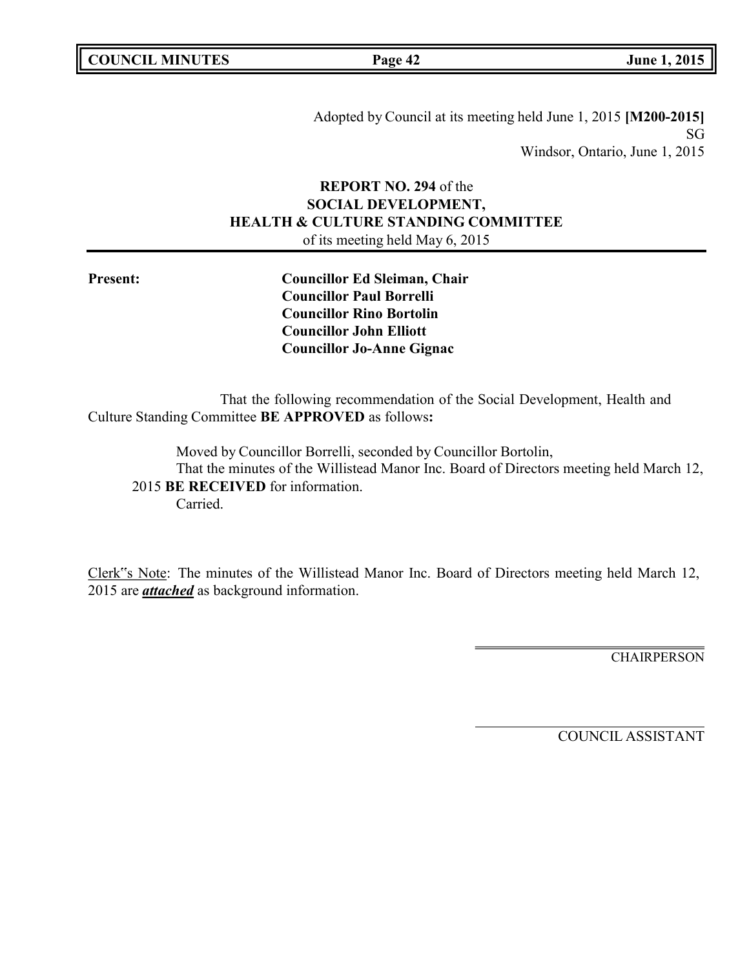Adopted by Council at its meeting held June 1, 2015 **[M200-2015]** SG Windsor, Ontario, June 1, 2015

# **REPORT NO. 294** of the **SOCIAL DEVELOPMENT, HEALTH & CULTURE STANDING COMMITTEE** of its meeting held May 6, 2015

**Present: Councillor Ed Sleiman, Chair Councillor Paul Borrelli Councillor Rino Bortolin Councillor John Elliott Councillor Jo-Anne Gignac**

That the following recommendation of the Social Development, Health and Culture Standing Committee **BE APPROVED** as follows**:**

Moved by Councillor Borrelli, seconded by Councillor Bortolin, That the minutes of the Willistead Manor Inc. Board of Directors meeting held March 12, 2015 **BE RECEIVED** for information. Carried.

Clerk"s Note: The minutes of the Willistead Manor Inc. Board of Directors meeting held March 12, 2015 are *attached* as background information.

CHAIRPERSON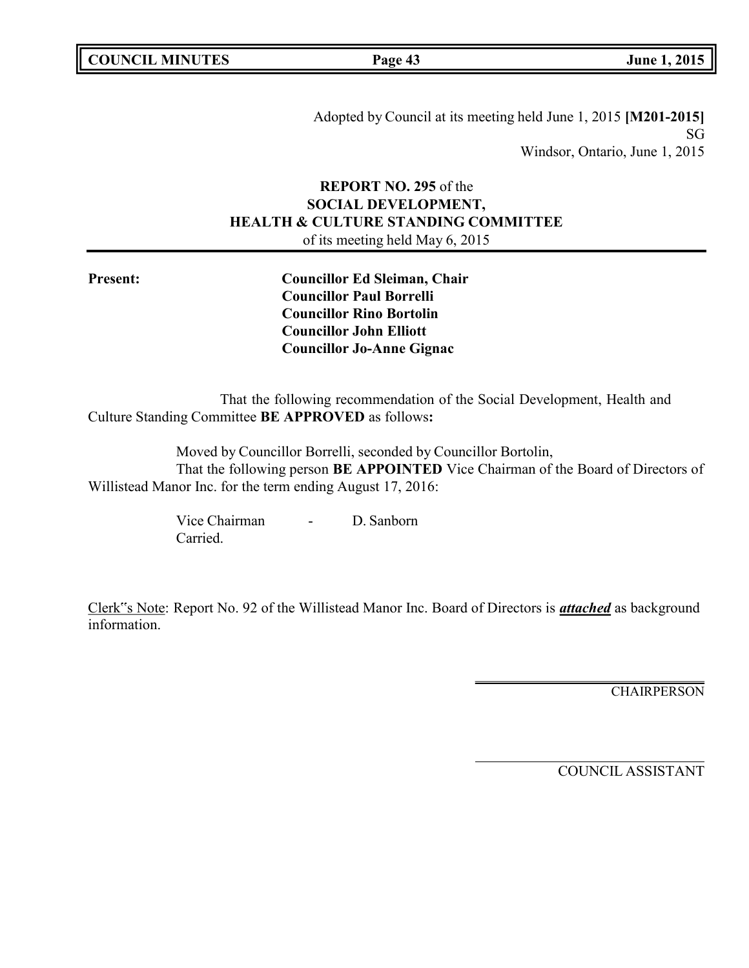Adopted by Council at its meeting held June 1, 2015 **[M201-2015]** SG Windsor, Ontario, June 1, 2015

# **REPORT NO. 295** of the **SOCIAL DEVELOPMENT, HEALTH & CULTURE STANDING COMMITTEE** of its meeting held May 6, 2015

**Present: Councillor Ed Sleiman, Chair Councillor Paul Borrelli Councillor Rino Bortolin Councillor John Elliott Councillor Jo-Anne Gignac**

That the following recommendation of the Social Development, Health and Culture Standing Committee **BE APPROVED** as follows**:**

Moved by Councillor Borrelli, seconded by Councillor Bortolin, That the following person **BE APPOINTED** Vice Chairman of the Board of Directors of Willistead Manor Inc. for the term ending August 17, 2016:

> Vice Chairman - D. Sanborn Carried.

Clerk"s Note: Report No. 92 of the Willistead Manor Inc. Board of Directors is *attached* as background information.

**CHAIRPERSON**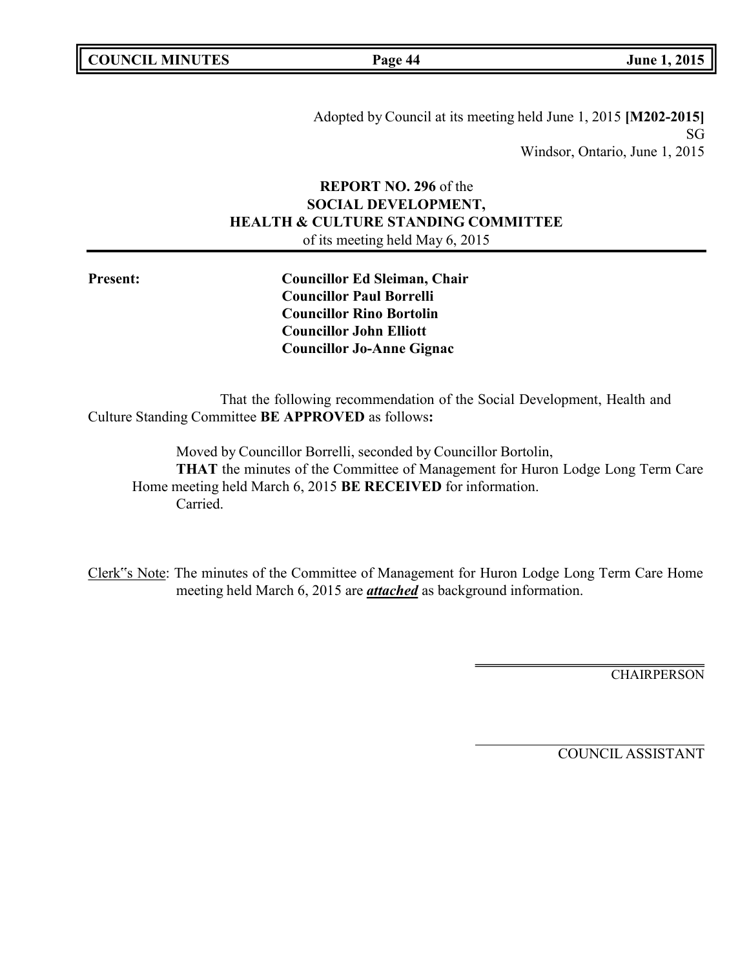Adopted by Council at its meeting held June 1, 2015 **[M202-2015]** SG Windsor, Ontario, June 1, 2015

# **REPORT NO. 296** of the **SOCIAL DEVELOPMENT, HEALTH & CULTURE STANDING COMMITTEE** of its meeting held May 6, 2015

**Present: Councillor Ed Sleiman, Chair Councillor Paul Borrelli Councillor Rino Bortolin Councillor John Elliott Councillor Jo-Anne Gignac**

That the following recommendation of the Social Development, Health and Culture Standing Committee **BE APPROVED** as follows**:**

Moved by Councillor Borrelli, seconded by Councillor Bortolin, **THAT** the minutes of the Committee of Management for Huron Lodge Long Term Care Home meeting held March 6, 2015 **BE RECEIVED** for information. Carried.

Clerk"s Note: The minutes of the Committee of Management for Huron Lodge Long Term Care Home meeting held March 6, 2015 are *attached* as background information.

**CHAIRPERSON**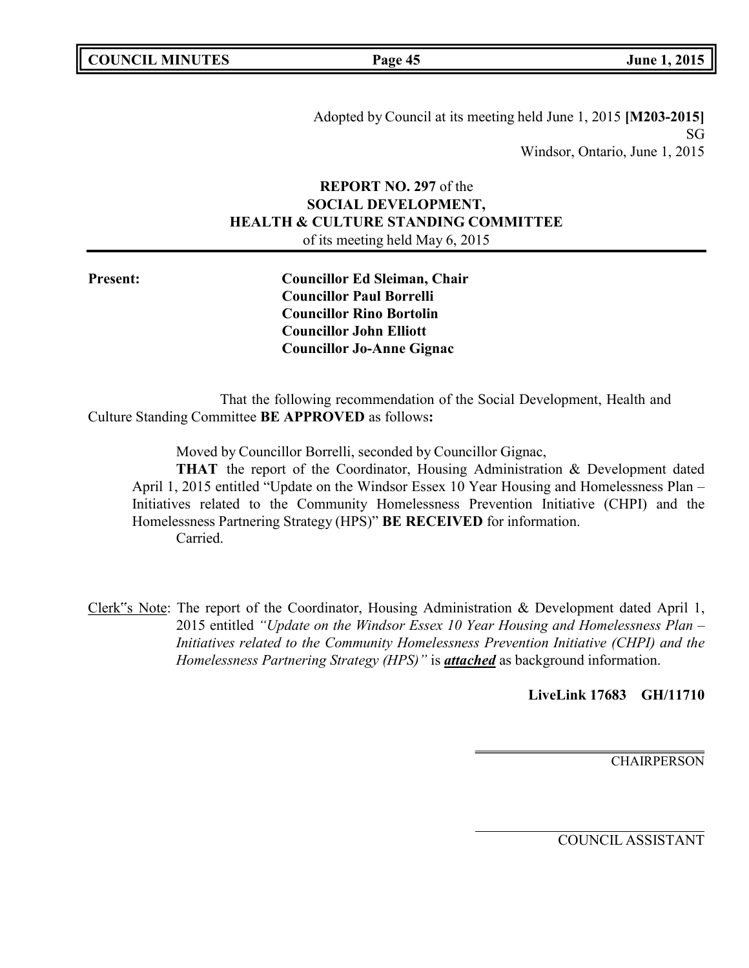Adopted by Council at its meeting held June 1, 2015 **[M203-2015]** SG Windsor, Ontario, June 1, 2015

# **REPORT NO. 297** of the **SOCIAL DEVELOPMENT, HEALTH & CULTURE STANDING COMMITTEE** of its meeting held May 6, 2015

**Present: Councillor Ed Sleiman, Chair Councillor Paul Borrelli Councillor Rino Bortolin Councillor John Elliott Councillor Jo-Anne Gignac**

That the following recommendation of the Social Development, Health and Culture Standing Committee **BE APPROVED** as follows**:**

Moved by Councillor Borrelli, seconded by Councillor Gignac,

**THAT** the report of the Coordinator, Housing Administration & Development dated April 1, 2015 entitled "Update on the Windsor Essex 10 Year Housing and Homelessness Plan – Initiatives related to the Community Homelessness Prevention Initiative (CHPI) and the Homelessness Partnering Strategy (HPS)" **BE RECEIVED** for information. Carried.

Clerk"s Note: The report of the Coordinator, Housing Administration & Development dated April 1, 2015 entitled *"Update on the Windsor Essex 10 Year Housing and Homelessness Plan – Initiatives related to the Community Homelessness Prevention Initiative (CHPI) and the Homelessness Partnering Strategy (HPS)"* is *attached* as background information.

**LiveLink 17683 GH/11710**

**CHAIRPERSON**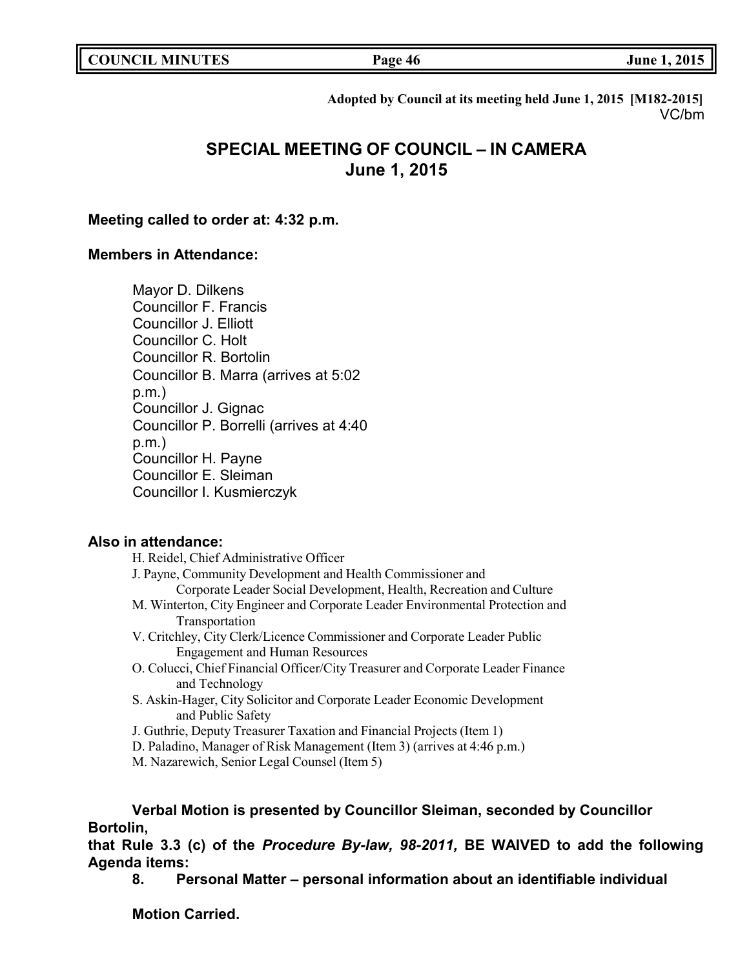**COUNCIL EXECUTE: COUNCIL EXECUTE: Page 46 June 1, 2015** 

**Adopted by Council at its meeting held June 1, 2015 [M182-2015]** VC/bm

# **SPECIAL MEETING OF COUNCIL – IN CAMERA June 1, 2015**

### **Meeting called to order at: 4:32 p.m.**

# **Members in Attendance:**

Mayor D. Dilkens Councillor F. Francis Councillor J. Elliott Councillor C. Holt Councillor R. Bortolin Councillor B. Marra (arrives at 5:02 p.m.) Councillor J. Gignac Councillor P. Borrelli (arrives at 4:40 p.m.) Councillor H. Payne Councillor E. Sleiman Councillor I. Kusmierczyk

# **Also in attendance:**

| H. Reidel, Chief Administrative Officer                                         |  |  |  |
|---------------------------------------------------------------------------------|--|--|--|
| J. Payne, Community Development and Health Commissioner and                     |  |  |  |
| Corporate Leader Social Development, Health, Recreation and Culture             |  |  |  |
| M. Winterton, City Engineer and Corporate Leader Environmental Protection and   |  |  |  |
| Transportation                                                                  |  |  |  |
| V. Critchley, City Clerk/Licence Commissioner and Corporate Leader Public       |  |  |  |
| <b>Engagement and Human Resources</b>                                           |  |  |  |
| O. Colucci, Chief Financial Officer/City Treasurer and Corporate Leader Finance |  |  |  |
| and Technology                                                                  |  |  |  |
| S. Askin-Hager, City Solicitor and Corporate Leader Economic Development        |  |  |  |
| and Public Safety                                                               |  |  |  |
| J. Guthrie, Deputy Treasurer Taxation and Financial Projects (Item 1)           |  |  |  |
| D. Paladino, Manager of Risk Management (Item 3) (arrives at 4:46 p.m.)         |  |  |  |
| M. Nazarewich, Senior Legal Counsel (Item 5)                                    |  |  |  |
|                                                                                 |  |  |  |

**Verbal Motion is presented by Councillor Sleiman, seconded by Councillor Bortolin,**

**that Rule 3.3 (c) of the** *Procedure By-law, 98-2011,* **BE WAIVED to add the following Agenda items:**

**8. Personal Matter – personal information about an identifiable individual**

**Motion Carried.**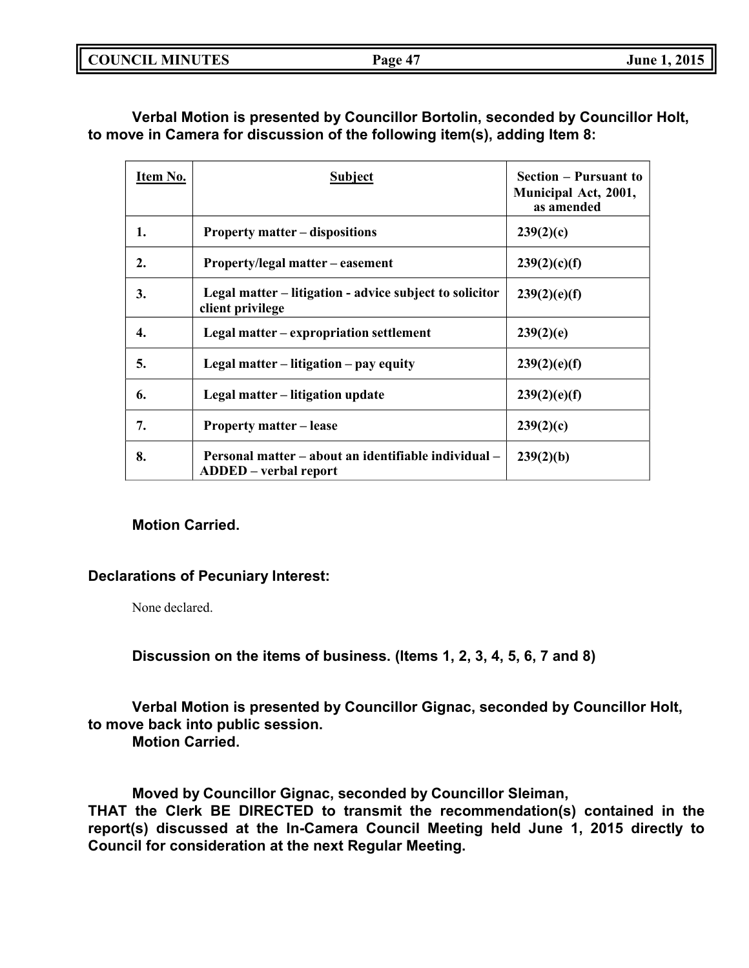**Verbal Motion is presented by Councillor Bortolin, seconded by Councillor Holt, to move in Camera for discussion of the following item(s), adding Item 8:**

| Item No. | <b>Subject</b>                                                                       | <b>Section – Pursuant to</b><br>Municipal Act, 2001,<br>as amended |
|----------|--------------------------------------------------------------------------------------|--------------------------------------------------------------------|
| 1.       | <b>Property matter – dispositions</b>                                                | 239(2)(c)                                                          |
| 2.       | Property/legal matter – easement                                                     | 239(2)(c)(f)                                                       |
| 3.       | Legal matter – litigation - advice subject to solicitor<br>client privilege          | 239(2)(e)(f)                                                       |
| 4.       | Legal matter – expropriation settlement                                              | 239(2)(e)                                                          |
| 5.       | Legal matter – litigation – pay equity                                               | 239(2)(e)(f)                                                       |
| 6.       | Legal matter – litigation update                                                     | 239(2)(e)(f)                                                       |
| 7.       | <b>Property matter – lease</b>                                                       | 239(2)(c)                                                          |
| 8.       | Personal matter – about an identifiable individual –<br><b>ADDED</b> – verbal report | 239(2)(b)                                                          |

# **Motion Carried.**

# **Declarations of Pecuniary Interest:**

None declared.

**Discussion on the items of business. (Items 1, 2, 3, 4, 5, 6, 7 and 8)**

**Verbal Motion is presented by Councillor Gignac, seconded by Councillor Holt, to move back into public session.**

**Motion Carried.**

**Moved by Councillor Gignac, seconded by Councillor Sleiman, THAT the Clerk BE DIRECTED to transmit the recommendation(s) contained in the report(s) discussed at the In-Camera Council Meeting held June 1, 2015 directly to Council for consideration at the next Regular Meeting.**